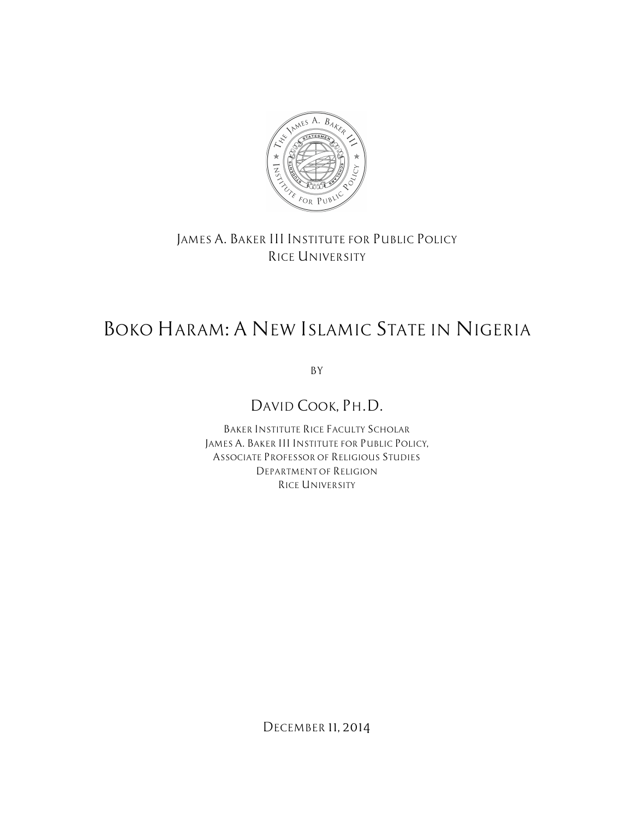

### *JAMES A. BAKER III INSTITUTE FOR PUBLIC POLICY RICE UNIVERSITY*

# *BOKO HARAM: A NEW ISLAMIC STATE IN NIGERIA*

*BY*

## *DAVID COOK, PH.D.*

*BAKER INSTITUTE RICE FACULTY SCHOLAR JAMES A. BAKER III INSTITUTE FOR PUBLIC POLICY, ASSOCIATE PROFESSOR OF RELIGIOUS STUDIES DEPARTMENT OF RELIGION RICE UNIVERSITY*

*DECEMBER 11, 2014*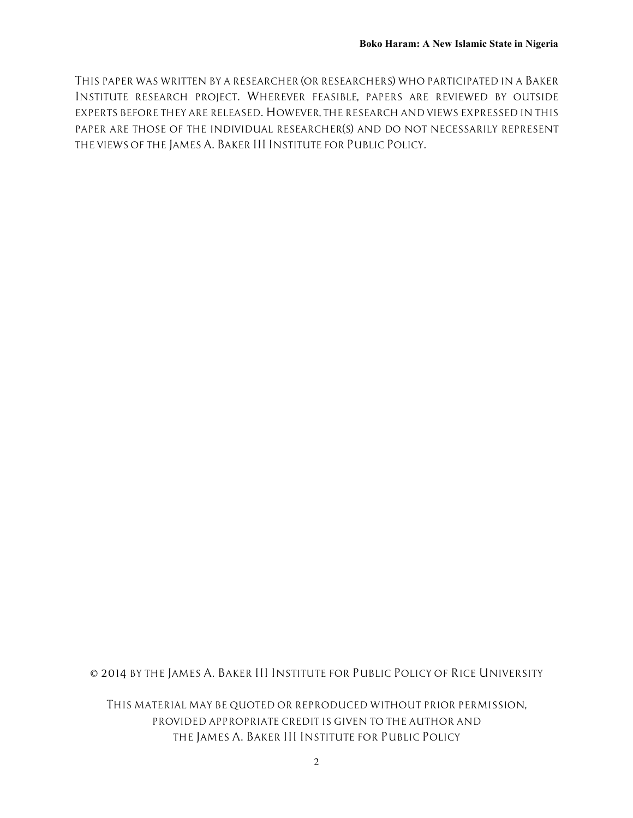*THIS PAPER WAS WRITTEN BY A RESEARCHER (OR RESEARCHERS) WHO PARTICIPATED IN A BAKER INSTITUTE RESEARCH PROJECT. WHEREVER FEASIBLE, PAPERS ARE REVIEWED BY OUTSIDE EXPERTS BEFORE THEY ARE RELEASED. HOWEVER, THE RESEARCH AND VIEWS EXPRESSED IN THIS PAPER ARE THOSE OF THE INDIVIDUAL RESEARCHER(S) AND DO NOT NECESSARILY REPRESENT THE VIEWS OF THE JAMES A. BAKER III INSTITUTE FOR PUBLIC POLICY.*

*© 2014 BY THE JAMES A. BAKER III INSTITUTE FOR PUBLIC POLICY OF RICE UNIVERSITY*

*THIS MATERIAL MAY BE QUOTED OR REPRODUCED WITHOUT PRIOR PERMISSION, PROVIDED APPROPRIATE CREDIT IS GIVEN TO THE AUTHOR AND THE JAMES A. BAKER III INSTITUTE FOR PUBLIC POLICY*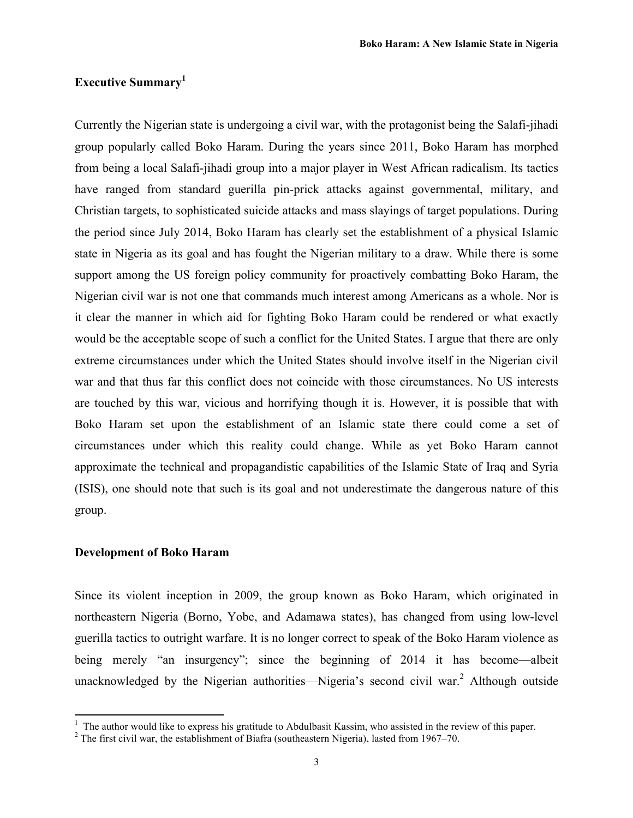#### **Executive Summary<sup>1</sup>**

Currently the Nigerian state is undergoing a civil war, with the protagonist being the Salafi-jihadi group popularly called Boko Haram. During the years since 2011, Boko Haram has morphed from being a local Salafi-jihadi group into a major player in West African radicalism. Its tactics have ranged from standard guerilla pin-prick attacks against governmental, military, and Christian targets, to sophisticated suicide attacks and mass slayings of target populations. During the period since July 2014, Boko Haram has clearly set the establishment of a physical Islamic state in Nigeria as its goal and has fought the Nigerian military to a draw. While there is some support among the US foreign policy community for proactively combatting Boko Haram, the Nigerian civil war is not one that commands much interest among Americans as a whole. Nor is it clear the manner in which aid for fighting Boko Haram could be rendered or what exactly would be the acceptable scope of such a conflict for the United States. I argue that there are only extreme circumstances under which the United States should involve itself in the Nigerian civil war and that thus far this conflict does not coincide with those circumstances. No US interests are touched by this war, vicious and horrifying though it is. However, it is possible that with Boko Haram set upon the establishment of an Islamic state there could come a set of circumstances under which this reality could change. While as yet Boko Haram cannot approximate the technical and propagandistic capabilities of the Islamic State of Iraq and Syria (ISIS), one should note that such is its goal and not underestimate the dangerous nature of this group.

#### **Development of Boko Haram**

 

Since its violent inception in 2009, the group known as Boko Haram, which originated in northeastern Nigeria (Borno, Yobe, and Adamawa states), has changed from using low-level guerilla tactics to outright warfare. It is no longer correct to speak of the Boko Haram violence as being merely "an insurgency"; since the beginning of 2014 it has become—albeit unacknowledged by the Nigerian authorities—Nigeria's second civil war.<sup>2</sup> Although outside

 $\frac{1}{1}$  The author would like to express his gratitude to Abdulbasit Kassim, who assisted in the review of this paper.

<sup>&</sup>lt;sup>2</sup> The first civil war, the establishment of Biafra (southeastern Nigeria), lasted from 1967–70.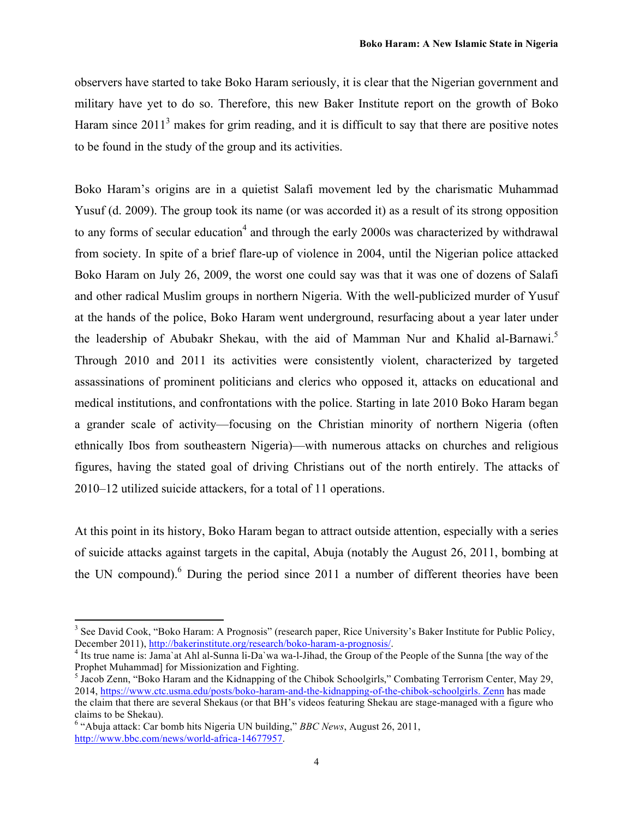observers have started to take Boko Haram seriously, it is clear that the Nigerian government and military have yet to do so. Therefore, this new Baker Institute report on the growth of Boko Haram since  $2011<sup>3</sup>$  makes for grim reading, and it is difficult to say that there are positive notes to be found in the study of the group and its activities.

Boko Haram's origins are in a quietist Salafi movement led by the charismatic Muhammad Yusuf (d. 2009). The group took its name (or was accorded it) as a result of its strong opposition to any forms of secular education<sup>4</sup> and through the early 2000s was characterized by withdrawal from society. In spite of a brief flare-up of violence in 2004, until the Nigerian police attacked Boko Haram on July 26, 2009, the worst one could say was that it was one of dozens of Salafi and other radical Muslim groups in northern Nigeria. With the well-publicized murder of Yusuf at the hands of the police, Boko Haram went underground, resurfacing about a year later under the leadership of Abubakr Shekau, with the aid of Mamman Nur and Khalid al-Barnawi.<sup>5</sup> Through 2010 and 2011 its activities were consistently violent, characterized by targeted assassinations of prominent politicians and clerics who opposed it, attacks on educational and medical institutions, and confrontations with the police. Starting in late 2010 Boko Haram began a grander scale of activity—focusing on the Christian minority of northern Nigeria (often ethnically Ibos from southeastern Nigeria)—with numerous attacks on churches and religious figures, having the stated goal of driving Christians out of the north entirely. The attacks of 2010–12 utilized suicide attackers, for a total of 11 operations.

At this point in its history, Boko Haram began to attract outside attention, especially with a series of suicide attacks against targets in the capital, Abuja (notably the August 26, 2011, bombing at the UN compound).<sup>6</sup> During the period since 2011 a number of different theories have been

<sup>&</sup>lt;sup>3</sup> See David Cook, "Boko Haram: A Prognosis" (research paper, Rice University's Baker Institute for Public Policy, December 2011), http://bakerinstitute.org/research/boko-haram-a-prognosis/.

<sup>&</sup>lt;sup>4</sup> Its true name is: Jama`at Ahl al-Sunna li-Da`wa wa-l-Jihad, the Group of the People of the Sunna [the way of the Prophet Muhammad] for Missionization and Fighting.

<sup>5</sup> Jacob Zenn, "Boko Haram and the Kidnapping of the Chibok Schoolgirls," Combating Terrorism Center, May 29, 2014, https://www.ctc.usma.edu/posts/boko-haram-and-the-kidnapping-of-the-chibok-schoolgirls. Zenn has made the claim that there are several Shekaus (or that BH's videos featuring Shekau are stage-managed with a figure who claims to be Shekau).

<sup>6</sup> "Abuja attack: Car bomb hits Nigeria UN building," *BBC News*, August 26, 2011, http://www.bbc.com/news/world-africa-14677957.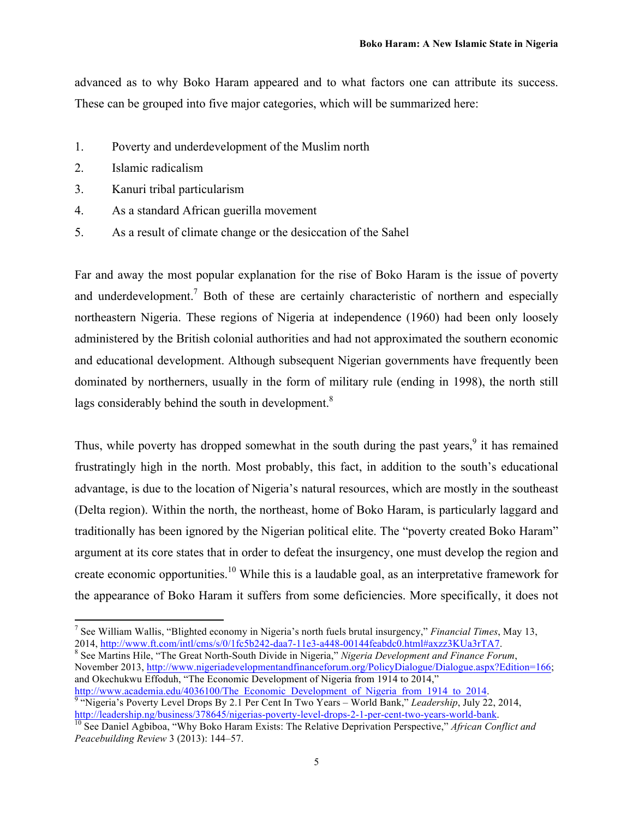advanced as to why Boko Haram appeared and to what factors one can attribute its success. These can be grouped into five major categories, which will be summarized here:

- 1. Poverty and underdevelopment of the Muslim north
- 2. Islamic radicalism
- 3. Kanuri tribal particularism

 

- 4. As a standard African guerilla movement
- 5. As a result of climate change or the desiccation of the Sahel

Far and away the most popular explanation for the rise of Boko Haram is the issue of poverty and underdevelopment.<sup>7</sup> Both of these are certainly characteristic of northern and especially northeastern Nigeria. These regions of Nigeria at independence (1960) had been only loosely administered by the British colonial authorities and had not approximated the southern economic and educational development. Although subsequent Nigerian governments have frequently been dominated by northerners, usually in the form of military rule (ending in 1998), the north still lags considerably behind the south in development.<sup>8</sup>

Thus, while poverty has dropped somewhat in the south during the past years,<sup>9</sup> it has remained frustratingly high in the north. Most probably, this fact, in addition to the south's educational advantage, is due to the location of Nigeria's natural resources, which are mostly in the southeast (Delta region). Within the north, the northeast, home of Boko Haram, is particularly laggard and traditionally has been ignored by the Nigerian political elite. The "poverty created Boko Haram" argument at its core states that in order to defeat the insurgency, one must develop the region and create economic opportunities.<sup>10</sup> While this is a laudable goal, as an interpretative framework for the appearance of Boko Haram it suffers from some deficiencies. More specifically, it does not

<sup>8</sup> See Martins Hile, "The Great North-South Divide in Nigeria," *Nigeria Development and Finance Forum*, November 2013, http://www.nigeriadevelopmentandfinanceforum.org/PolicyDialogue/Dialogue.aspx?Edition=166; and Okechukwu Effoduh, "The Economic Development of Nigeria from 1914 to 2014,"

http://www.academia.edu/4036100/The\_Economic\_Development\_of\_Nigeria\_from\_1914\_to\_2014.<br><sup>9</sup> "Nigeria's Poverty Level Drops By 2.1 Per Cent In Two Years – World Bank," *Leadership*, July 22, 2014, http://leadership.ng/business/378645/nigerias-poverty-level-drops-2-1-per-cent-two-years-world-bank.<br><sup>10</sup> See Daniel Agbiboa, "Why Boko Haram Exists: The Relative Deprivation Perspective," *African Conflict and* 

<sup>7</sup> See William Wallis, "Blighted economy in Nigeria's north fuels brutal insurgency," *Financial Times*, May 13,

*Peacebuilding Review* 3 (2013): 144–57.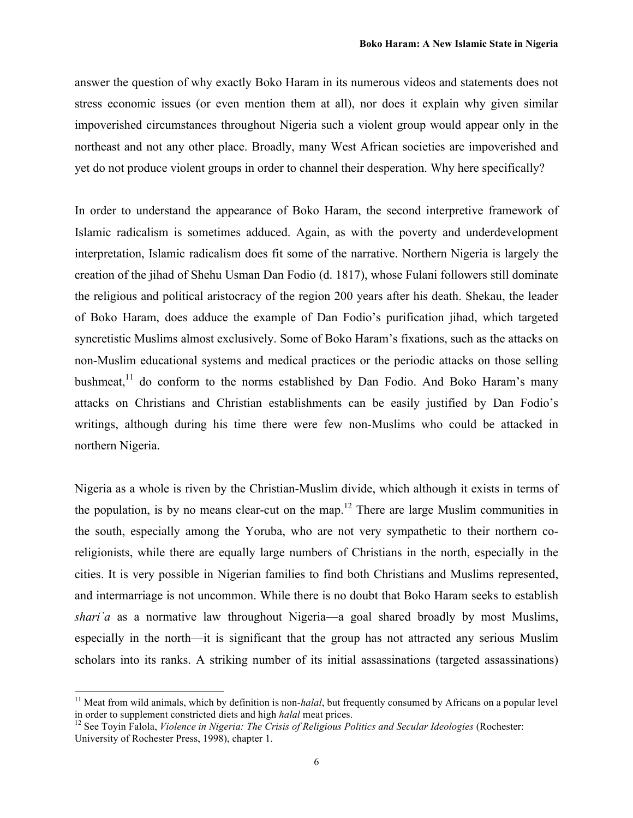answer the question of why exactly Boko Haram in its numerous videos and statements does not stress economic issues (or even mention them at all), nor does it explain why given similar impoverished circumstances throughout Nigeria such a violent group would appear only in the northeast and not any other place. Broadly, many West African societies are impoverished and yet do not produce violent groups in order to channel their desperation. Why here specifically?

In order to understand the appearance of Boko Haram, the second interpretive framework of Islamic radicalism is sometimes adduced. Again, as with the poverty and underdevelopment interpretation, Islamic radicalism does fit some of the narrative. Northern Nigeria is largely the creation of the jihad of Shehu Usman Dan Fodio (d. 1817), whose Fulani followers still dominate the religious and political aristocracy of the region 200 years after his death. Shekau, the leader of Boko Haram, does adduce the example of Dan Fodio's purification jihad, which targeted syncretistic Muslims almost exclusively. Some of Boko Haram's fixations, such as the attacks on non-Muslim educational systems and medical practices or the periodic attacks on those selling bushmeat,<sup>11</sup> do conform to the norms established by Dan Fodio. And Boko Haram's many attacks on Christians and Christian establishments can be easily justified by Dan Fodio's writings, although during his time there were few non-Muslims who could be attacked in northern Nigeria.

Nigeria as a whole is riven by the Christian-Muslim divide, which although it exists in terms of the population, is by no means clear-cut on the map.<sup>12</sup> There are large Muslim communities in the south, especially among the Yoruba, who are not very sympathetic to their northern coreligionists, while there are equally large numbers of Christians in the north, especially in the cities. It is very possible in Nigerian families to find both Christians and Muslims represented, and intermarriage is not uncommon. While there is no doubt that Boko Haram seeks to establish *shari*'a as a normative law throughout Nigeria—a goal shared broadly by most Muslims, especially in the north—it is significant that the group has not attracted any serious Muslim scholars into its ranks. A striking number of its initial assassinations (targeted assassinations)

<sup>&</sup>lt;sup>11</sup> Meat from wild animals, which by definition is non-*halal*, but frequently consumed by Africans on a popular level in order to supplement constricted diets and high *halal* meat prices.<br><sup>12</sup> See Toyin Falola, *Violence in Nigeria: The Crisis of Religious Politics and Secular Ideologies* (Rochester:

University of Rochester Press, 1998), chapter 1.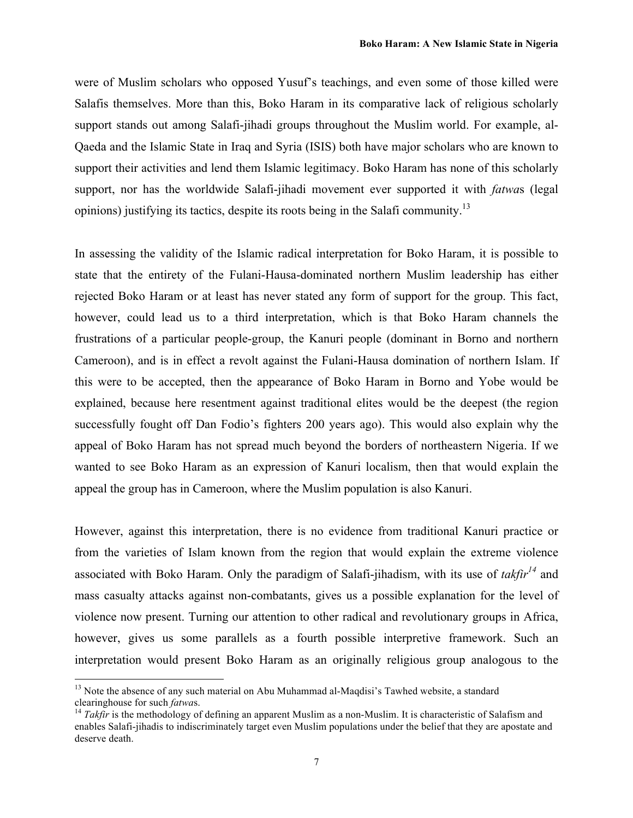were of Muslim scholars who opposed Yusuf's teachings, and even some of those killed were Salafis themselves. More than this, Boko Haram in its comparative lack of religious scholarly support stands out among Salafi-jihadi groups throughout the Muslim world. For example, al-Qaeda and the Islamic State in Iraq and Syria (ISIS) both have major scholars who are known to support their activities and lend them Islamic legitimacy. Boko Haram has none of this scholarly support, nor has the worldwide Salafi-jihadi movement ever supported it with *fatwa*s (legal opinions) justifying its tactics, despite its roots being in the Salafi community.<sup>13</sup>

In assessing the validity of the Islamic radical interpretation for Boko Haram, it is possible to state that the entirety of the Fulani-Hausa-dominated northern Muslim leadership has either rejected Boko Haram or at least has never stated any form of support for the group. This fact, however, could lead us to a third interpretation, which is that Boko Haram channels the frustrations of a particular people-group, the Kanuri people (dominant in Borno and northern Cameroon), and is in effect a revolt against the Fulani-Hausa domination of northern Islam. If this were to be accepted, then the appearance of Boko Haram in Borno and Yobe would be explained, because here resentment against traditional elites would be the deepest (the region successfully fought off Dan Fodio's fighters 200 years ago). This would also explain why the appeal of Boko Haram has not spread much beyond the borders of northeastern Nigeria. If we wanted to see Boko Haram as an expression of Kanuri localism, then that would explain the appeal the group has in Cameroon, where the Muslim population is also Kanuri.

However, against this interpretation, there is no evidence from traditional Kanuri practice or from the varieties of Islam known from the region that would explain the extreme violence associated with Boko Haram. Only the paradigm of Salafi-jihadism, with its use of *takfir<sup>14</sup>* and mass casualty attacks against non-combatants, gives us a possible explanation for the level of violence now present. Turning our attention to other radical and revolutionary groups in Africa, however, gives us some parallels as a fourth possible interpretive framework. Such an interpretation would present Boko Haram as an originally religious group analogous to the

<sup>&</sup>lt;sup>13</sup> Note the absence of any such material on Abu Muhammad al-Maqdisi's Tawhed website, a standard clearinghouse for such *fatwas*.<br><sup>14</sup> *Takfir* is the methodology of defining an apparent Muslim as a non-Muslim. It is characteristic of Salafism and

enables Salafi-jihadis to indiscriminately target even Muslim populations under the belief that they are apostate and deserve death.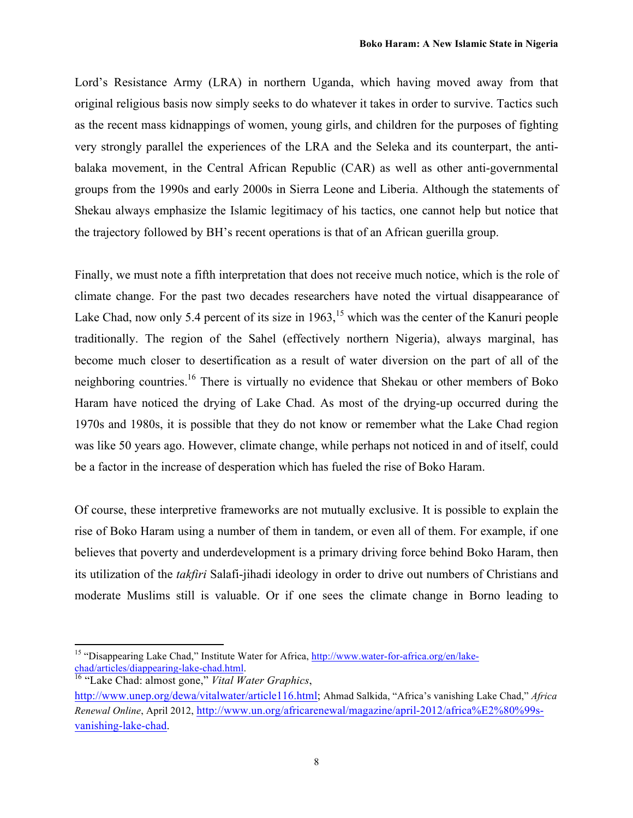Lord's Resistance Army (LRA) in northern Uganda, which having moved away from that original religious basis now simply seeks to do whatever it takes in order to survive. Tactics such as the recent mass kidnappings of women, young girls, and children for the purposes of fighting very strongly parallel the experiences of the LRA and the Seleka and its counterpart, the antibalaka movement, in the Central African Republic (CAR) as well as other anti-governmental groups from the 1990s and early 2000s in Sierra Leone and Liberia. Although the statements of Shekau always emphasize the Islamic legitimacy of his tactics, one cannot help but notice that the trajectory followed by BH's recent operations is that of an African guerilla group.

Finally, we must note a fifth interpretation that does not receive much notice, which is the role of climate change. For the past two decades researchers have noted the virtual disappearance of Lake Chad, now only 5.4 percent of its size in  $1963$ , <sup>15</sup> which was the center of the Kanuri people traditionally. The region of the Sahel (effectively northern Nigeria), always marginal, has become much closer to desertification as a result of water diversion on the part of all of the neighboring countries.16 There is virtually no evidence that Shekau or other members of Boko Haram have noticed the drying of Lake Chad. As most of the drying-up occurred during the 1970s and 1980s, it is possible that they do not know or remember what the Lake Chad region was like 50 years ago. However, climate change, while perhaps not noticed in and of itself, could be a factor in the increase of desperation which has fueled the rise of Boko Haram.

Of course, these interpretive frameworks are not mutually exclusive. It is possible to explain the rise of Boko Haram using a number of them in tandem, or even all of them. For example, if one believes that poverty and underdevelopment is a primary driving force behind Boko Haram, then its utilization of the *takfiri* Salafi-jihadi ideology in order to drive out numbers of Christians and moderate Muslims still is valuable. Or if one sees the climate change in Borno leading to

<sup>&</sup>lt;sup>15</sup> "Disappearing Lake Chad," Institute Water for Africa, http://www.water-for-africa.org/en/lakechad/articles/diappearing-lake-chad.html. 16 "Lake Chad: almost gone," *Vital Water Graphics*,

http://www.unep.org/dewa/vitalwater/article116.html; Ahmad Salkida, "Africa's vanishing Lake Chad," *Africa Renewal Online*, April 2012, http://www.un.org/africarenewal/magazine/april-2012/africa%E2%80%99svanishing-lake-chad.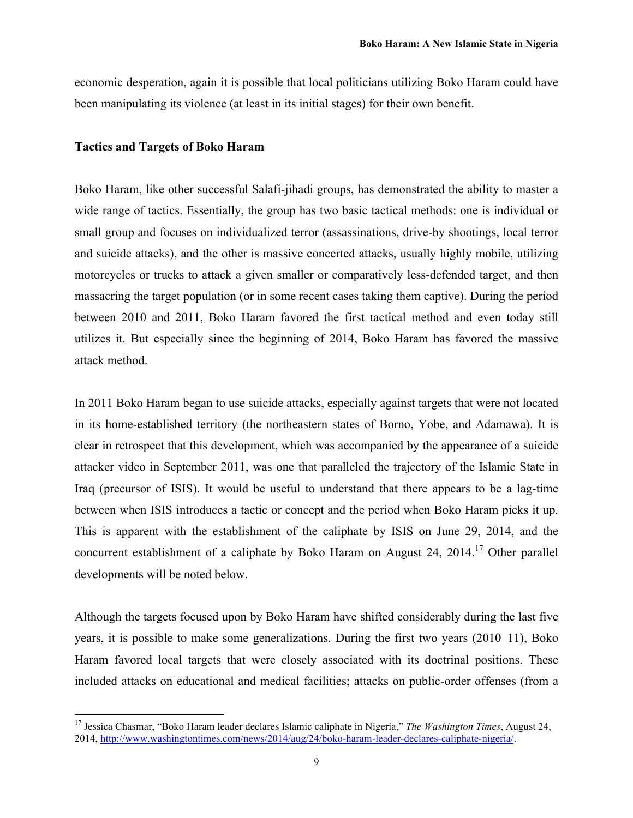economic desperation, again it is possible that local politicians utilizing Boko Haram could have been manipulating its violence (at least in its initial stages) for their own benefit.

#### **Tactics and Targets of Boko Haram**

 

Boko Haram, like other successful Salafi-jihadi groups, has demonstrated the ability to master a wide range of tactics. Essentially, the group has two basic tactical methods: one is individual or small group and focuses on individualized terror (assassinations, drive-by shootings, local terror and suicide attacks), and the other is massive concerted attacks, usually highly mobile, utilizing motorcycles or trucks to attack a given smaller or comparatively less-defended target, and then massacring the target population (or in some recent cases taking them captive). During the period between 2010 and 2011, Boko Haram favored the first tactical method and even today still utilizes it. But especially since the beginning of 2014, Boko Haram has favored the massive attack method.

In 2011 Boko Haram began to use suicide attacks, especially against targets that were not located in its home-established territory (the northeastern states of Borno, Yobe, and Adamawa). It is clear in retrospect that this development, which was accompanied by the appearance of a suicide attacker video in September 2011, was one that paralleled the trajectory of the Islamic State in Iraq (precursor of ISIS). It would be useful to understand that there appears to be a lag-time between when ISIS introduces a tactic or concept and the period when Boko Haram picks it up. This is apparent with the establishment of the caliphate by ISIS on June 29, 2014, and the concurrent establishment of a caliphate by Boko Haram on August 24, 2014.<sup>17</sup> Other parallel developments will be noted below.

Although the targets focused upon by Boko Haram have shifted considerably during the last five years, it is possible to make some generalizations. During the first two years (2010–11), Boko Haram favored local targets that were closely associated with its doctrinal positions. These included attacks on educational and medical facilities; attacks on public-order offenses (from a

<sup>&</sup>lt;sup>17</sup> Jessica Chasmar, "Boko Haram leader declares Islamic caliphate in Nigeria," *The Washington Times*, August 24, 2014, http://www.washingtontimes.com/news/2014/aug/24/boko-haram-leader-declares-caliphate-nigeria/.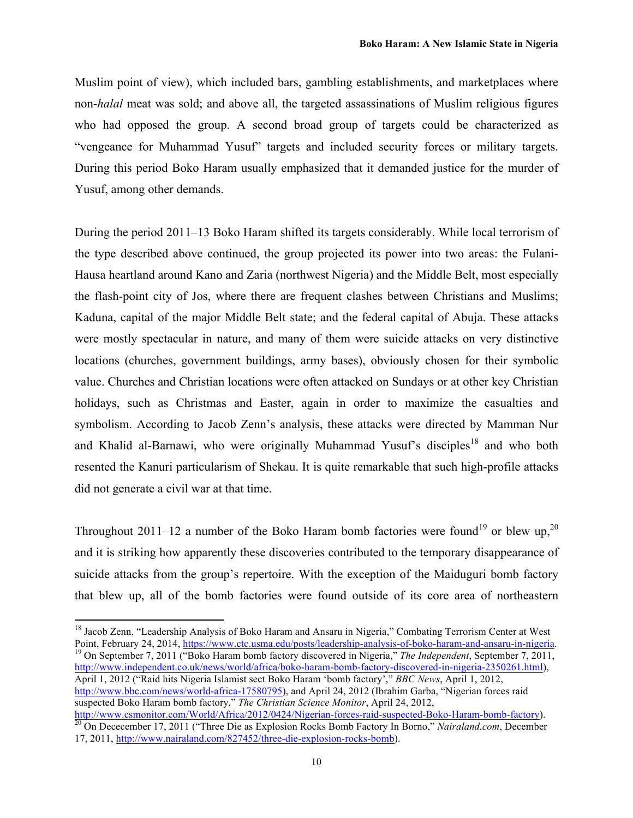Muslim point of view), which included bars, gambling establishments, and marketplaces where non-*halal* meat was sold; and above all, the targeted assassinations of Muslim religious figures who had opposed the group. A second broad group of targets could be characterized as "vengeance for Muhammad Yusuf" targets and included security forces or military targets. During this period Boko Haram usually emphasized that it demanded justice for the murder of Yusuf, among other demands.

During the period 2011–13 Boko Haram shifted its targets considerably. While local terrorism of the type described above continued, the group projected its power into two areas: the Fulani-Hausa heartland around Kano and Zaria (northwest Nigeria) and the Middle Belt, most especially the flash-point city of Jos, where there are frequent clashes between Christians and Muslims; Kaduna, capital of the major Middle Belt state; and the federal capital of Abuja. These attacks were mostly spectacular in nature, and many of them were suicide attacks on very distinctive locations (churches, government buildings, army bases), obviously chosen for their symbolic value. Churches and Christian locations were often attacked on Sundays or at other key Christian holidays, such as Christmas and Easter, again in order to maximize the casualties and symbolism. According to Jacob Zenn's analysis, these attacks were directed by Mamman Nur and Khalid al-Barnawi, who were originally Muhammad Yusuf's disciples<sup>18</sup> and who both resented the Kanuri particularism of Shekau. It is quite remarkable that such high-profile attacks did not generate a civil war at that time.

Throughout 2011–12 a number of the Boko Haram bomb factories were found<sup>19</sup> or blew up,<sup>20</sup> and it is striking how apparently these discoveries contributed to the temporary disappearance of suicide attacks from the group's repertoire. With the exception of the Maiduguri bomb factory that blew up, all of the bomb factories were found outside of its core area of northeastern

 

http://www.independent.co.uk/news/world/africa/boko-haram-bomb-factory-discovered-in-nigeria-2350261.html), April 1, 2012 ("Raid hits Nigeria Islamist sect Boko Haram 'bomb factory'," *BBC News*, April 1, 2012, http://www.bbc.com/news/world-africa-17580795), and April 24, 2012 (Ibrahim Garba, "Nigerian forces raid suspected Boko Haram bomb factory," *The Christian Science Monitor*, April 24, 2012,<br>http://www.csmonitor.com/World/Africa/2012/0424/Nigerian-forces-raid-suspected-Boko-Haram-bomb-factory).

<sup>&</sup>lt;sup>18</sup> Jacob Zenn, "Leadership Analysis of Boko Haram and Ansaru in Nigeria," Combating Terrorism Center at West<br>Point, February 24, 2014, https://www.ctc.usma.edu/posts/leadership-analysis-of-boko-haram-and-ansaru-in-nigeri <sup>19</sup> On September 7, 2011 ("Boko Haram bomb factory discovered in Nigeria," The Independent, September 7, 2011,

http://www.csmonitor.com/World/African-Forces-raid-Boko-Haram-bomb-factory In Borno," *Nairaland.com*, December 20 On Dececember 17, 2011 ("Three Die as Explosion Rocks Bomb Factory In Borno," *Nairaland.com*, December 17, 2011, http://www.nairaland.com/827452/three-die-explosion-rocks-bomb).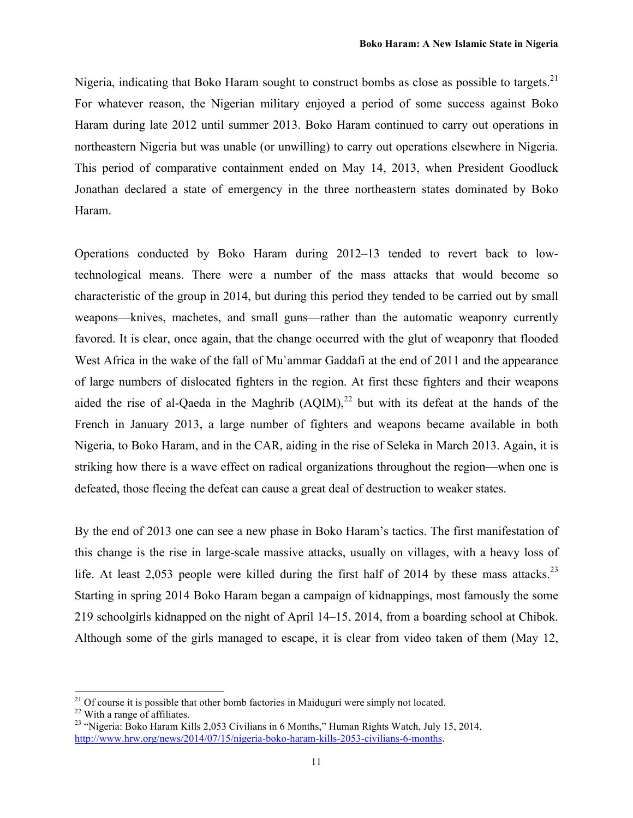Nigeria, indicating that Boko Haram sought to construct bombs as close as possible to targets.<sup>21</sup> For whatever reason, the Nigerian military enjoyed a period of some success against Boko Haram during late 2012 until summer 2013. Boko Haram continued to carry out operations in northeastern Nigeria but was unable (or unwilling) to carry out operations elsewhere in Nigeria. This period of comparative containment ended on May 14, 2013, when President Goodluck Jonathan declared a state of emergency in the three northeastern states dominated by Boko Haram.

Operations conducted by Boko Haram during 2012–13 tended to revert back to lowtechnological means. There were a number of the mass attacks that would become so characteristic of the group in 2014, but during this period they tended to be carried out by small weapons—knives, machetes, and small guns—rather than the automatic weaponry currently favored. It is clear, once again, that the change occurred with the glut of weaponry that flooded West Africa in the wake of the fall of Mu`ammar Gaddafi at the end of 2011 and the appearance of large numbers of dislocated fighters in the region. At first these fighters and their weapons aided the rise of al-Qaeda in the Maghrib  $(AQIM)<sup>22</sup>$  but with its defeat at the hands of the French in January 2013, a large number of fighters and weapons became available in both Nigeria, to Boko Haram, and in the CAR, aiding in the rise of Seleka in March 2013. Again, it is striking how there is a wave effect on radical organizations throughout the region—when one is defeated, those fleeing the defeat can cause a great deal of destruction to weaker states.

By the end of 2013 one can see a new phase in Boko Haram's tactics. The first manifestation of this change is the rise in large-scale massive attacks, usually on villages, with a heavy loss of life. At least 2,053 people were killed during the first half of 2014 by these mass attacks.<sup>23</sup> Starting in spring 2014 Boko Haram began a campaign of kidnappings, most famously the some 219 schoolgirls kidnapped on the night of April 14–15, 2014, from a boarding school at Chibok. Although some of the girls managed to escape, it is clear from video taken of them (May 12,

<sup>&</sup>lt;sup>21</sup> Of course it is possible that other bomb factories in Maiduguri were simply not located.<br><sup>22</sup> With a range of affiliates.<br><sup>23</sup> "Nigeria: Boko Haram Kills 2,053 Civilians in 6 Months," Human Rights Watch, July 15, 201

http://www.hrw.org/news/2014/07/15/nigeria-boko-haram-kills-2053-civilians-6-months.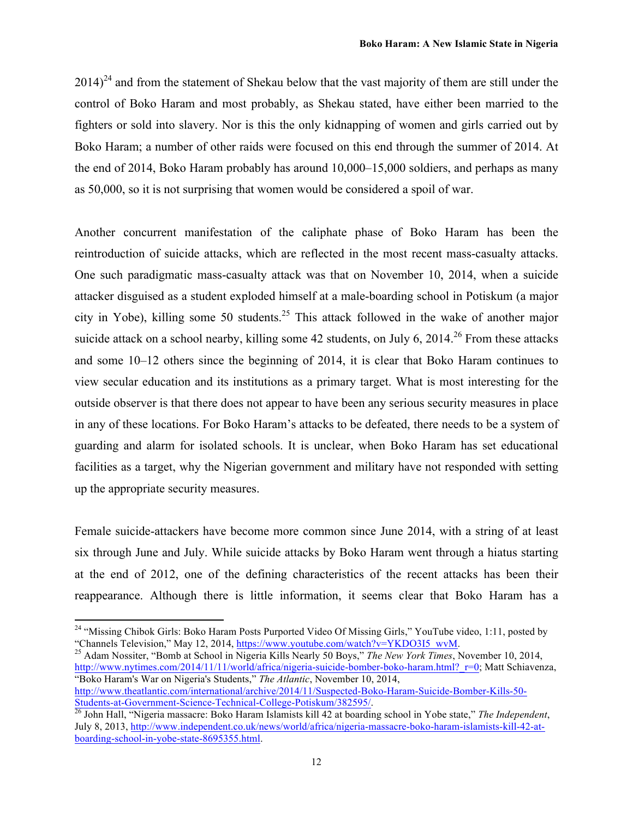$2014)^{24}$  and from the statement of Shekau below that the vast majority of them are still under the control of Boko Haram and most probably, as Shekau stated, have either been married to the fighters or sold into slavery. Nor is this the only kidnapping of women and girls carried out by Boko Haram; a number of other raids were focused on this end through the summer of 2014. At the end of 2014, Boko Haram probably has around 10,000–15,000 soldiers, and perhaps as many as 50,000, so it is not surprising that women would be considered a spoil of war.

Another concurrent manifestation of the caliphate phase of Boko Haram has been the reintroduction of suicide attacks, which are reflected in the most recent mass-casualty attacks. One such paradigmatic mass-casualty attack was that on November 10, 2014, when a suicide attacker disguised as a student exploded himself at a male-boarding school in Potiskum (a major city in Yobe), killing some 50 students.<sup>25</sup> This attack followed in the wake of another major suicide attack on a school nearby, killing some 42 students, on July 6,  $2014.<sup>26</sup>$  From these attacks and some 10–12 others since the beginning of 2014, it is clear that Boko Haram continues to view secular education and its institutions as a primary target. What is most interesting for the outside observer is that there does not appear to have been any serious security measures in place in any of these locations. For Boko Haram's attacks to be defeated, there needs to be a system of guarding and alarm for isolated schools. It is unclear, when Boko Haram has set educational facilities as a target, why the Nigerian government and military have not responded with setting up the appropriate security measures.

Female suicide-attackers have become more common since June 2014, with a string of at least six through June and July. While suicide attacks by Boko Haram went through a hiatus starting at the end of 2012, one of the defining characteristics of the recent attacks has been their reappearance. Although there is little information, it seems clear that Boko Haram has a

 

<sup>25</sup> Adam Nossiter, "Bomb at School in Nigeria Kills Nearly 50 Boys," *The New York Times*, November 10, 2014, http://www.nytimes.com/2014/11/11/world/africa/nigeria-suicide-bomber-boko-haram.html?\_r=0; Matt Schiavenza, "Boko Haram's War on Nigeria's Students," *The Atlantic*, November 10, 2014, http://www.theatlantic.com/international/archive/2014/11/Suspected-Boko-Haram-Suicide-Bomber-Kills-50-

Students-at-Government-Science-Technical-College-Potiskum/382595/. <sup>26</sup> John Hall, "Nigeria massacre: Boko Haram Islamists kill 42 at boarding school in Yobe state," *The Independent*,

<sup>&</sup>lt;sup>24</sup> "Missing Chibok Girls: Boko Haram Posts Purported Video Of Missing Girls," YouTube video, 1:11, posted by "Channels Television," May 12, 2014, https://www.youtube.com/watch?v=YKDO3I5 wvM.

July 8, 2013, http://www.independent.co.uk/news/world/africa/nigeria-massacre-boko-haram-islamists-kill-42-atboarding-school-in-yobe-state-8695355.html.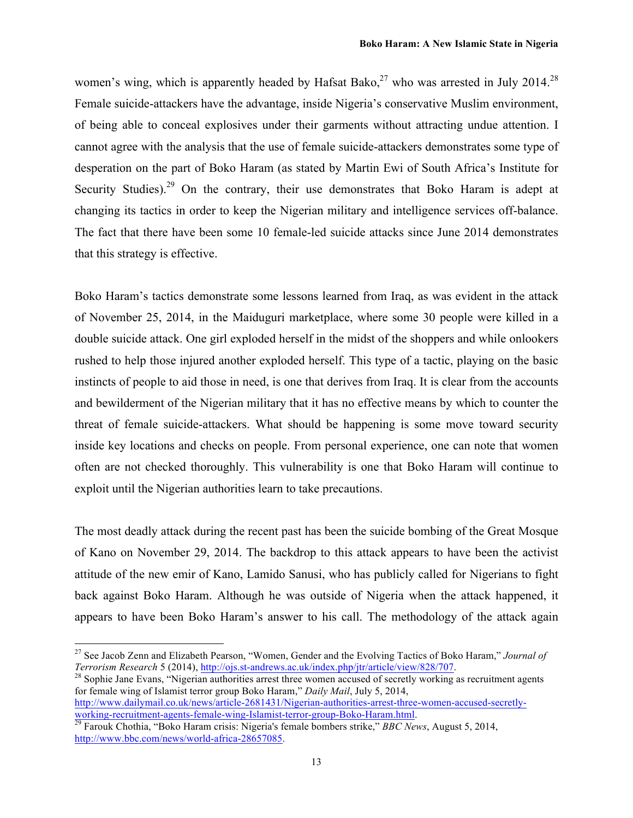women's wing, which is apparently headed by Hafsat Bako,<sup>27</sup> who was arrested in July 2014.<sup>28</sup> Female suicide-attackers have the advantage, inside Nigeria's conservative Muslim environment, of being able to conceal explosives under their garments without attracting undue attention. I cannot agree with the analysis that the use of female suicide-attackers demonstrates some type of desperation on the part of Boko Haram (as stated by Martin Ewi of South Africa's Institute for Security Studies).<sup>29</sup> On the contrary, their use demonstrates that Boko Haram is adept at changing its tactics in order to keep the Nigerian military and intelligence services off-balance. The fact that there have been some 10 female-led suicide attacks since June 2014 demonstrates that this strategy is effective.

Boko Haram's tactics demonstrate some lessons learned from Iraq, as was evident in the attack of November 25, 2014, in the Maiduguri marketplace, where some 30 people were killed in a double suicide attack. One girl exploded herself in the midst of the shoppers and while onlookers rushed to help those injured another exploded herself. This type of a tactic, playing on the basic instincts of people to aid those in need, is one that derives from Iraq. It is clear from the accounts and bewilderment of the Nigerian military that it has no effective means by which to counter the threat of female suicide-attackers. What should be happening is some move toward security inside key locations and checks on people. From personal experience, one can note that women often are not checked thoroughly. This vulnerability is one that Boko Haram will continue to exploit until the Nigerian authorities learn to take precautions.

The most deadly attack during the recent past has been the suicide bombing of the Great Mosque of Kano on November 29, 2014. The backdrop to this attack appears to have been the activist attitude of the new emir of Kano, Lamido Sanusi, who has publicly called for Nigerians to fight back against Boko Haram. Although he was outside of Nigeria when the attack happened, it appears to have been Boko Haram's answer to his call. The methodology of the attack again

for female wing of Islamist terror group Boko Haram," *Daily Mail*, July 5, 2014, http://www.dailymail.co.uk/news/article-2681431/Nigerian-authorities-arrest-three-women-accused-secretly-

<sup>27</sup> See Jacob Zenn and Elizabeth Pearson, "Women, Gender and the Evolving Tactics of Boko Haram," *Journal of Terrorism Research* 5 (2014), http://ojs.st-andrews.ac.uk/index.php/jtr/article/view/828/707.<br><sup>28</sup> Sophie Jane Evans, "Nigerian authorities arrest three women accused of secretly working as recruitment agents

working-recruitment-agents-female-wing-Islamist-terror-group-Boko-Haram.html.<br><sup>29</sup> Farouk Chothia, "Boko Haram crisis: Nigeria's female bombers strike," *BBC News*, August 5, 2014, http://www.bbc.com/news/world-africa-28657085.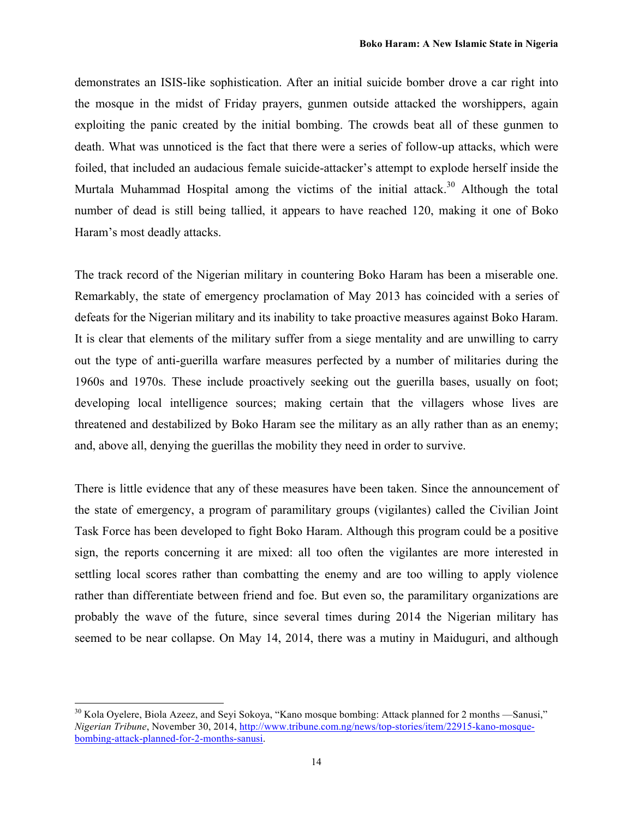demonstrates an ISIS-like sophistication. After an initial suicide bomber drove a car right into the mosque in the midst of Friday prayers, gunmen outside attacked the worshippers, again exploiting the panic created by the initial bombing. The crowds beat all of these gunmen to death. What was unnoticed is the fact that there were a series of follow-up attacks, which were foiled, that included an audacious female suicide-attacker's attempt to explode herself inside the Murtala Muhammad Hospital among the victims of the initial attack.<sup>30</sup> Although the total number of dead is still being tallied, it appears to have reached 120, making it one of Boko Haram's most deadly attacks.

The track record of the Nigerian military in countering Boko Haram has been a miserable one. Remarkably, the state of emergency proclamation of May 2013 has coincided with a series of defeats for the Nigerian military and its inability to take proactive measures against Boko Haram. It is clear that elements of the military suffer from a siege mentality and are unwilling to carry out the type of anti-guerilla warfare measures perfected by a number of militaries during the 1960s and 1970s. These include proactively seeking out the guerilla bases, usually on foot; developing local intelligence sources; making certain that the villagers whose lives are threatened and destabilized by Boko Haram see the military as an ally rather than as an enemy; and, above all, denying the guerillas the mobility they need in order to survive.

There is little evidence that any of these measures have been taken. Since the announcement of the state of emergency, a program of paramilitary groups (vigilantes) called the Civilian Joint Task Force has been developed to fight Boko Haram. Although this program could be a positive sign, the reports concerning it are mixed: all too often the vigilantes are more interested in settling local scores rather than combatting the enemy and are too willing to apply violence rather than differentiate between friend and foe. But even so, the paramilitary organizations are probably the wave of the future, since several times during 2014 the Nigerian military has seemed to be near collapse. On May 14, 2014, there was a mutiny in Maiduguri, and although

<sup>&</sup>lt;sup>30</sup> Kola Oyelere, Biola Azeez, and Seyi Sokoya, "Kano mosque bombing: Attack planned for 2 months —Sanusi," *Nigerian Tribune*, November 30, 2014, http://www.tribune.com.ng/news/top-stories/item/22915-kano-mosquebombing-attack-planned-for-2-months-sanusi.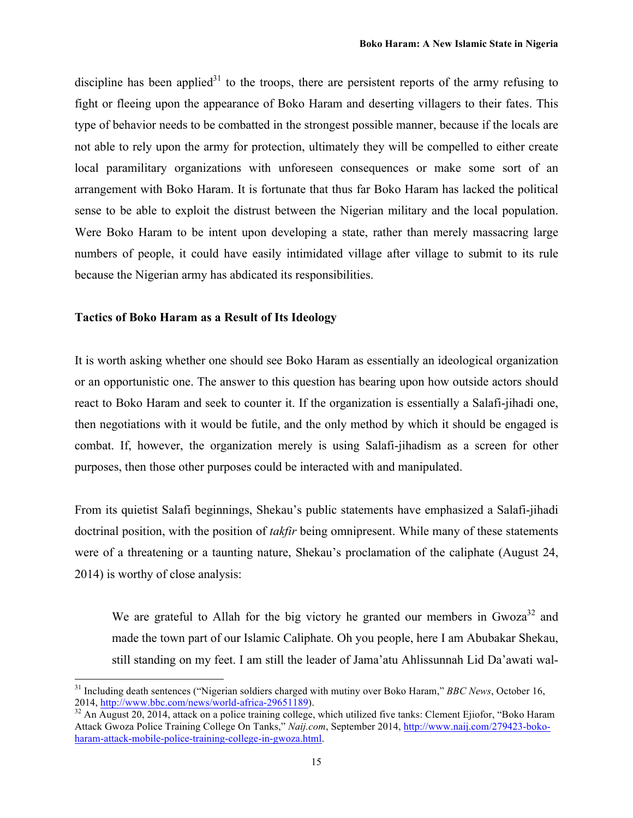discipline has been applied<sup>31</sup> to the troops, there are persistent reports of the army refusing to fight or fleeing upon the appearance of Boko Haram and deserting villagers to their fates. This type of behavior needs to be combatted in the strongest possible manner, because if the locals are not able to rely upon the army for protection, ultimately they will be compelled to either create local paramilitary organizations with unforeseen consequences or make some sort of an arrangement with Boko Haram. It is fortunate that thus far Boko Haram has lacked the political sense to be able to exploit the distrust between the Nigerian military and the local population. Were Boko Haram to be intent upon developing a state, rather than merely massacring large numbers of people, it could have easily intimidated village after village to submit to its rule because the Nigerian army has abdicated its responsibilities.

#### **Tactics of Boko Haram as a Result of Its Ideology**

 

It is worth asking whether one should see Boko Haram as essentially an ideological organization or an opportunistic one. The answer to this question has bearing upon how outside actors should react to Boko Haram and seek to counter it. If the organization is essentially a Salafi-jihadi one, then negotiations with it would be futile, and the only method by which it should be engaged is combat. If, however, the organization merely is using Salafi-jihadism as a screen for other purposes, then those other purposes could be interacted with and manipulated.

From its quietist Salafi beginnings, Shekau's public statements have emphasized a Salafi-jihadi doctrinal position, with the position of *takfir* being omnipresent. While many of these statements were of a threatening or a taunting nature, Shekau's proclamation of the caliphate (August 24, 2014) is worthy of close analysis:

We are grateful to Allah for the big victory he granted our members in  $Gwoza<sup>32</sup>$  and made the town part of our Islamic Caliphate. Oh you people, here I am Abubakar Shekau, still standing on my feet. I am still the leader of Jama'atu Ahlissunnah Lid Da'awati wal-

<sup>&</sup>lt;sup>31</sup> Including death sentences ("Nigerian soldiers charged with mutiny over Boko Haram," *BBC News*, October 16, 2014, http://www.bbc.com/news/world-africa-29651189).<br><sup>32</sup> An August 20, 2014, attack on a police training college, which utilized five tanks: Clement Ejiofor, "Boko Haram

Attack Gwoza Police Training College On Tanks," *Naij.com*, September 2014, http://www.naij.com/279423-bokoharam-attack-mobile-police-training-college-in-gwoza.html.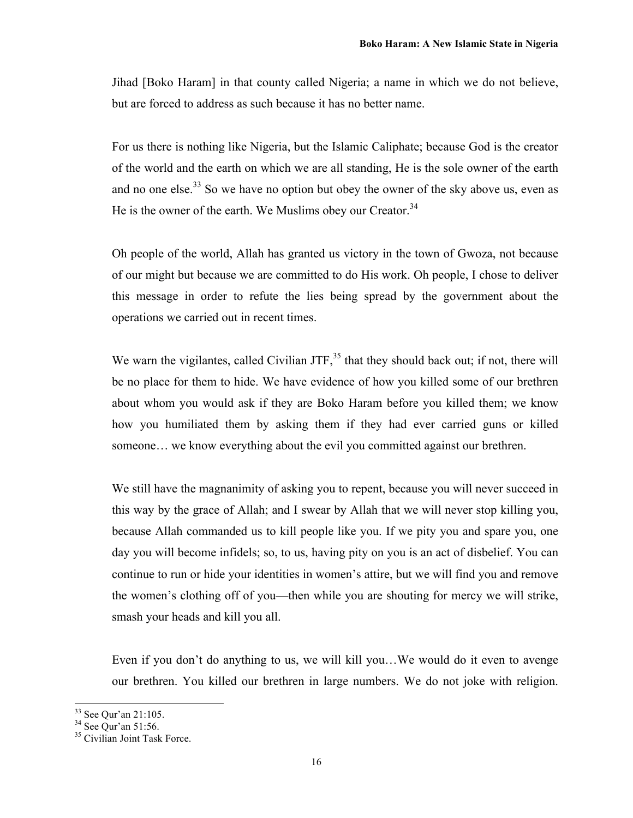Jihad [Boko Haram] in that county called Nigeria; a name in which we do not believe, but are forced to address as such because it has no better name.

For us there is nothing like Nigeria, but the Islamic Caliphate; because God is the creator of the world and the earth on which we are all standing, He is the sole owner of the earth and no one else.<sup>33</sup> So we have no option but obey the owner of the sky above us, even as He is the owner of the earth. We Muslims obey our Creator.<sup>34</sup>

Oh people of the world, Allah has granted us victory in the town of Gwoza, not because of our might but because we are committed to do His work. Oh people, I chose to deliver this message in order to refute the lies being spread by the government about the operations we carried out in recent times.

We warn the vigilantes, called Civilian JTF, $35$  that they should back out; if not, there will be no place for them to hide. We have evidence of how you killed some of our brethren about whom you would ask if they are Boko Haram before you killed them; we know how you humiliated them by asking them if they had ever carried guns or killed someone… we know everything about the evil you committed against our brethren.

We still have the magnanimity of asking you to repent, because you will never succeed in this way by the grace of Allah; and I swear by Allah that we will never stop killing you, because Allah commanded us to kill people like you. If we pity you and spare you, one day you will become infidels; so, to us, having pity on you is an act of disbelief. You can continue to run or hide your identities in women's attire, but we will find you and remove the women's clothing off of you—then while you are shouting for mercy we will strike, smash your heads and kill you all.

Even if you don't do anything to us, we will kill you…We would do it even to avenge our brethren. You killed our brethren in large numbers. We do not joke with religion.

<sup>&</sup>lt;sup>33</sup> See Qur'an 21:105.<br><sup>34</sup> See Qur'an 51:56.<br><sup>35</sup> Civilian Joint Task Force.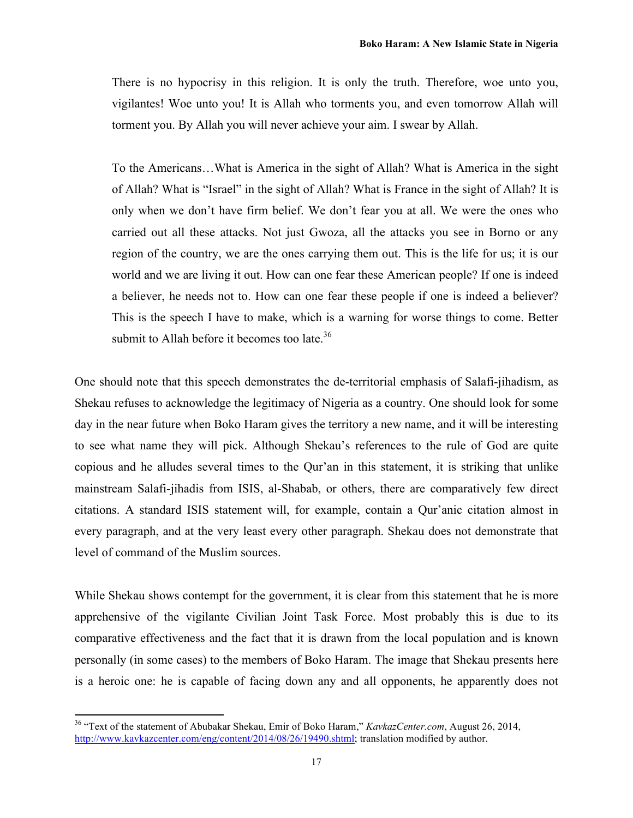There is no hypocrisy in this religion. It is only the truth. Therefore, woe unto you, vigilantes! Woe unto you! It is Allah who torments you, and even tomorrow Allah will torment you. By Allah you will never achieve your aim. I swear by Allah.

To the Americans…What is America in the sight of Allah? What is America in the sight of Allah? What is "Israel" in the sight of Allah? What is France in the sight of Allah? It is only when we don't have firm belief. We don't fear you at all. We were the ones who carried out all these attacks. Not just Gwoza, all the attacks you see in Borno or any region of the country, we are the ones carrying them out. This is the life for us; it is our world and we are living it out. How can one fear these American people? If one is indeed a believer, he needs not to. How can one fear these people if one is indeed a believer? This is the speech I have to make, which is a warning for worse things to come. Better submit to Allah before it becomes too late.<sup>36</sup>

One should note that this speech demonstrates the de-territorial emphasis of Salafi-jihadism, as Shekau refuses to acknowledge the legitimacy of Nigeria as a country. One should look for some day in the near future when Boko Haram gives the territory a new name, and it will be interesting to see what name they will pick. Although Shekau's references to the rule of God are quite copious and he alludes several times to the Qur'an in this statement, it is striking that unlike mainstream Salafi-jihadis from ISIS, al-Shabab, or others, there are comparatively few direct citations. A standard ISIS statement will, for example, contain a Qur'anic citation almost in every paragraph, and at the very least every other paragraph. Shekau does not demonstrate that level of command of the Muslim sources.

While Shekau shows contempt for the government, it is clear from this statement that he is more apprehensive of the vigilante Civilian Joint Task Force. Most probably this is due to its comparative effectiveness and the fact that it is drawn from the local population and is known personally (in some cases) to the members of Boko Haram. The image that Shekau presents here is a heroic one: he is capable of facing down any and all opponents, he apparently does not

<sup>36</sup> "Text of the statement of Abubakar Shekau, Emir of Boko Haram," *KavkazCenter.com*, August 26, 2014, http://www.kavkazcenter.com/eng/content/2014/08/26/19490.shtml; translation modified by author.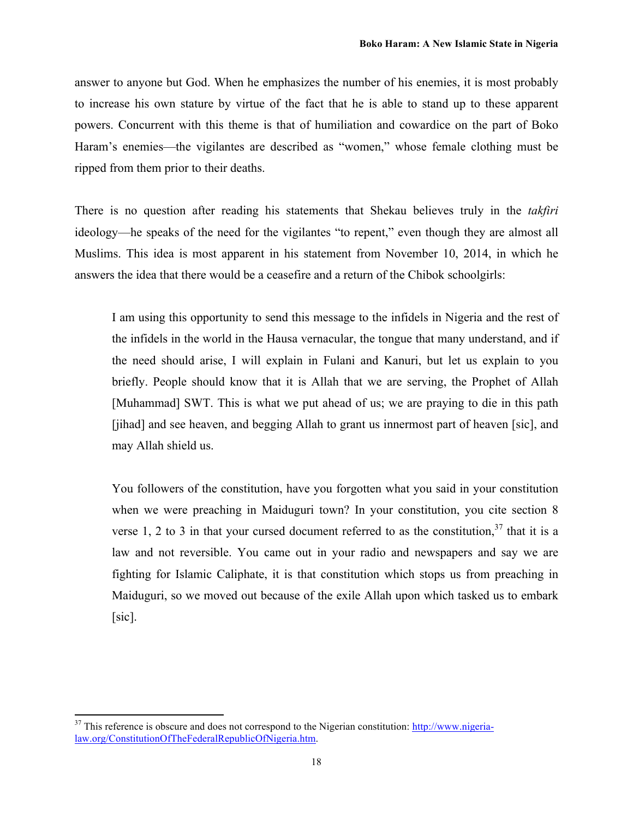answer to anyone but God. When he emphasizes the number of his enemies, it is most probably to increase his own stature by virtue of the fact that he is able to stand up to these apparent powers. Concurrent with this theme is that of humiliation and cowardice on the part of Boko Haram's enemies—the vigilantes are described as "women," whose female clothing must be ripped from them prior to their deaths.

There is no question after reading his statements that Shekau believes truly in the *takfiri* ideology—he speaks of the need for the vigilantes "to repent," even though they are almost all Muslims. This idea is most apparent in his statement from November 10, 2014, in which he answers the idea that there would be a ceasefire and a return of the Chibok schoolgirls:

I am using this opportunity to send this message to the infidels in Nigeria and the rest of the infidels in the world in the Hausa vernacular, the tongue that many understand, and if the need should arise, I will explain in Fulani and Kanuri, but let us explain to you briefly. People should know that it is Allah that we are serving, the Prophet of Allah [Muhammad] SWT. This is what we put ahead of us; we are praying to die in this path [jihad] and see heaven, and begging Allah to grant us innermost part of heaven [sic], and may Allah shield us.

You followers of the constitution, have you forgotten what you said in your constitution when we were preaching in Maiduguri town? In your constitution, you cite section 8 verse 1, 2 to 3 in that your cursed document referred to as the constitution,  $37$  that it is a law and not reversible. You came out in your radio and newspapers and say we are fighting for Islamic Caliphate, it is that constitution which stops us from preaching in Maiduguri, so we moved out because of the exile Allah upon which tasked us to embark [sic].

  $37$  This reference is obscure and does not correspond to the Nigerian constitution: http://www.nigerialaw.org/ConstitutionOfTheFederalRepublicOfNigeria.htm.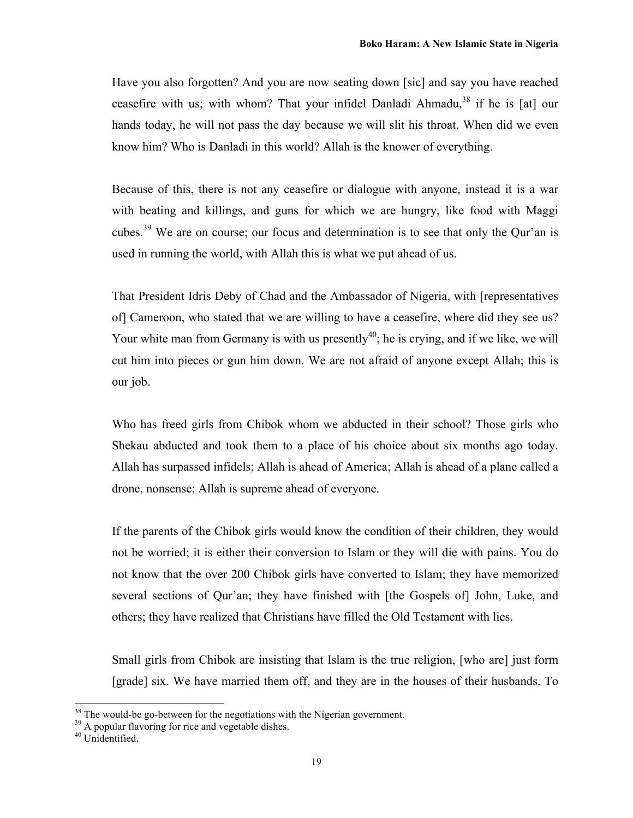Have you also forgotten? And you are now seating down [sic] and say you have reached ceasefire with us; with whom? That your infidel Danladi Ahmadu,<sup>38</sup> if he is [at] our hands today, he will not pass the day because we will slit his throat. When did we even know him? Who is Danladi in this world? Allah is the knower of everything.

Because of this, there is not any ceasefire or dialogue with anyone, instead it is a war with beating and killings, and guns for which we are hungry, like food with Maggi cubes.39 We are on course; our focus and determination is to see that only the Qur'an is used in running the world, with Allah this is what we put ahead of us.

That President Idris Deby of Chad and the Ambassador of Nigeria, with [representatives of] Cameroon, who stated that we are willing to have a ceasefire, where did they see us? Your white man from Germany is with us presently<sup>40</sup>; he is crying, and if we like, we will cut him into pieces or gun him down. We are not afraid of anyone except Allah; this is our job.

Who has freed girls from Chibok whom we abducted in their school? Those girls who Shekau abducted and took them to a place of his choice about six months ago today. Allah has surpassed infidels; Allah is ahead of America; Allah is ahead of a plane called a drone, nonsense; Allah is supreme ahead of everyone.

If the parents of the Chibok girls would know the condition of their children, they would not be worried; it is either their conversion to Islam or they will die with pains. You do not know that the over 200 Chibok girls have converted to Islam; they have memorized several sections of Qur'an; they have finished with [the Gospels of] John, Luke, and others; they have realized that Christians have filled the Old Testament with lies.

Small girls from Chibok are insisting that Islam is the true religion, [who are] just form [grade] six. We have married them off, and they are in the houses of their husbands. To

<sup>&</sup>lt;sup>38</sup> The would-be go-between for the negotiations with the Nigerian government.<br><sup>39</sup> A popular flavoring for rice and vegetable dishes.<br><sup>40</sup> Unidentified.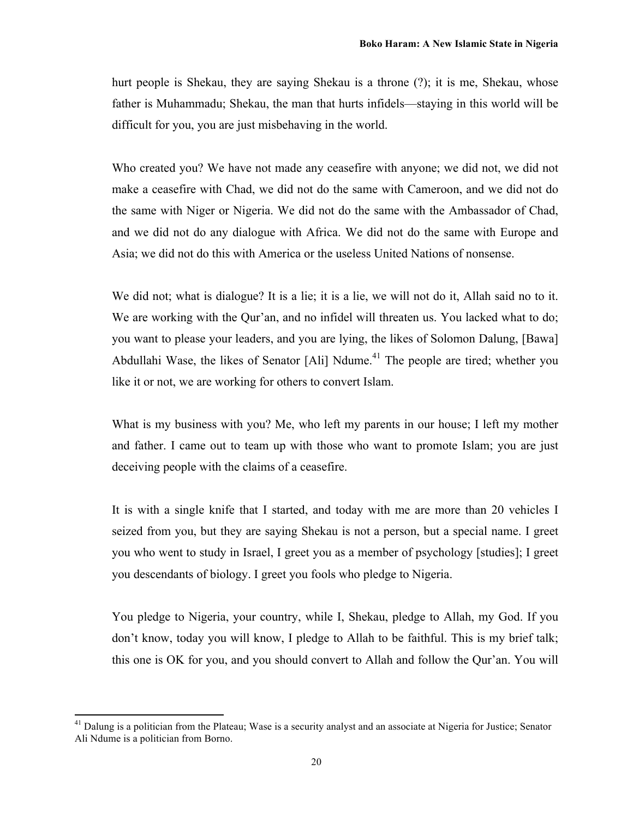hurt people is Shekau, they are saying Shekau is a throne (?); it is me, Shekau, whose father is Muhammadu; Shekau, the man that hurts infidels—staying in this world will be difficult for you, you are just misbehaving in the world.

Who created you? We have not made any ceasefire with anyone; we did not, we did not make a ceasefire with Chad, we did not do the same with Cameroon, and we did not do the same with Niger or Nigeria. We did not do the same with the Ambassador of Chad, and we did not do any dialogue with Africa. We did not do the same with Europe and Asia; we did not do this with America or the useless United Nations of nonsense.

We did not; what is dialogue? It is a lie; it is a lie, we will not do it, Allah said no to it. We are working with the Qur'an, and no infidel will threaten us. You lacked what to do; you want to please your leaders, and you are lying, the likes of Solomon Dalung, [Bawa] Abdullahi Wase, the likes of Senator  $[Ali]$  Ndume.<sup>41</sup> The people are tired; whether you like it or not, we are working for others to convert Islam.

What is my business with you? Me, who left my parents in our house; I left my mother and father. I came out to team up with those who want to promote Islam; you are just deceiving people with the claims of a ceasefire.

It is with a single knife that I started, and today with me are more than 20 vehicles I seized from you, but they are saying Shekau is not a person, but a special name. I greet you who went to study in Israel, I greet you as a member of psychology [studies]; I greet you descendants of biology. I greet you fools who pledge to Nigeria.

You pledge to Nigeria, your country, while I, Shekau, pledge to Allah, my God. If you don't know, today you will know, I pledge to Allah to be faithful. This is my brief talk; this one is OK for you, and you should convert to Allah and follow the Qur'an. You will

<sup>&</sup>lt;sup>41</sup> Dalung is a politician from the Plateau; Wase is a security analyst and an associate at Nigeria for Justice; Senator Ali Ndume is a politician from Borno.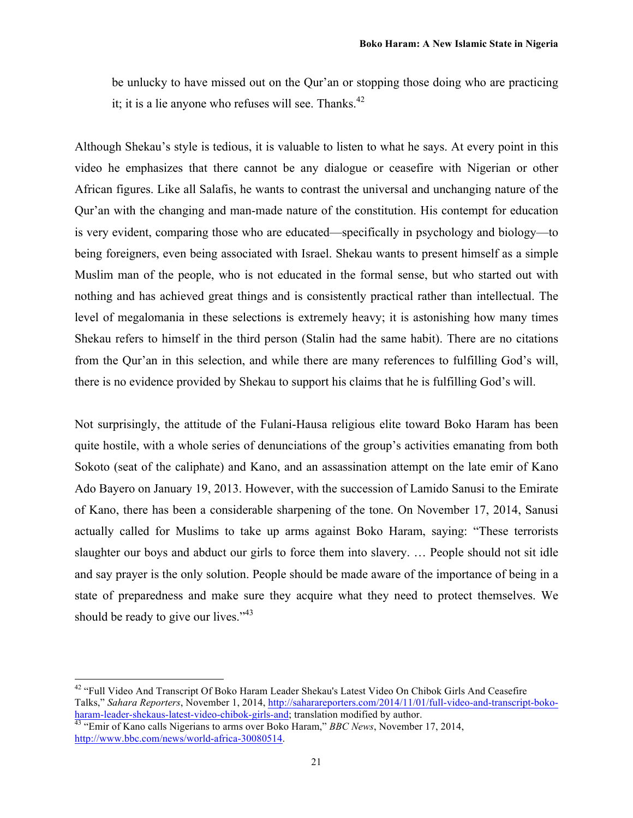be unlucky to have missed out on the Qur'an or stopping those doing who are practicing it; it is a lie anyone who refuses will see. Thanks.<sup>42</sup>

Although Shekau's style is tedious, it is valuable to listen to what he says. At every point in this video he emphasizes that there cannot be any dialogue or ceasefire with Nigerian or other African figures. Like all Salafis, he wants to contrast the universal and unchanging nature of the Qur'an with the changing and man-made nature of the constitution. His contempt for education is very evident, comparing those who are educated—specifically in psychology and biology—to being foreigners, even being associated with Israel. Shekau wants to present himself as a simple Muslim man of the people, who is not educated in the formal sense, but who started out with nothing and has achieved great things and is consistently practical rather than intellectual. The level of megalomania in these selections is extremely heavy; it is astonishing how many times Shekau refers to himself in the third person (Stalin had the same habit). There are no citations from the Qur'an in this selection, and while there are many references to fulfilling God's will, there is no evidence provided by Shekau to support his claims that he is fulfilling God's will.

Not surprisingly, the attitude of the Fulani-Hausa religious elite toward Boko Haram has been quite hostile, with a whole series of denunciations of the group's activities emanating from both Sokoto (seat of the caliphate) and Kano, and an assassination attempt on the late emir of Kano Ado Bayero on January 19, 2013. However, with the succession of Lamido Sanusi to the Emirate of Kano, there has been a considerable sharpening of the tone. On November 17, 2014, Sanusi actually called for Muslims to take up arms against Boko Haram, saying: "These terrorists slaughter our boys and abduct our girls to force them into slavery. … People should not sit idle and say prayer is the only solution. People should be made aware of the importance of being in a state of preparedness and make sure they acquire what they need to protect themselves. We should be ready to give our lives."<sup>43</sup>

<sup>&</sup>lt;sup>42</sup> "Full Video And Transcript Of Boko Haram Leader Shekau's Latest Video On Chibok Girls And Ceasefire Talks," *Sahara Reporters*, November 1, 2014, http://saharareporters.com/2014/11/01/full-video-and-transcript-bokoharam-leader-shekaus-latest-video-chibok-girls-and; translation modified by author. <sup>43</sup> "Emir of Kano calls Nigerians to arms over Boko Haram," *BBC News*, November 17, 2014,

http://www.bbc.com/news/world-africa-30080514.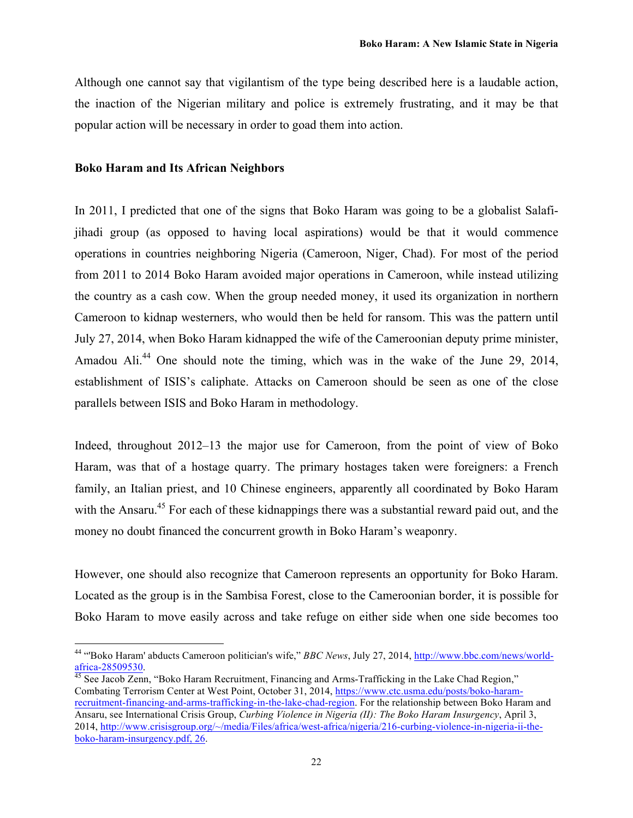Although one cannot say that vigilantism of the type being described here is a laudable action, the inaction of the Nigerian military and police is extremely frustrating, and it may be that popular action will be necessary in order to goad them into action.

#### **Boko Haram and Its African Neighbors**

 

In 2011, I predicted that one of the signs that Boko Haram was going to be a globalist Salafijihadi group (as opposed to having local aspirations) would be that it would commence operations in countries neighboring Nigeria (Cameroon, Niger, Chad). For most of the period from 2011 to 2014 Boko Haram avoided major operations in Cameroon, while instead utilizing the country as a cash cow. When the group needed money, it used its organization in northern Cameroon to kidnap westerners, who would then be held for ransom. This was the pattern until July 27, 2014, when Boko Haram kidnapped the wife of the Cameroonian deputy prime minister, Amadou Ali.<sup>44</sup> One should note the timing, which was in the wake of the June 29, 2014, establishment of ISIS's caliphate. Attacks on Cameroon should be seen as one of the close parallels between ISIS and Boko Haram in methodology.

Indeed, throughout 2012–13 the major use for Cameroon, from the point of view of Boko Haram, was that of a hostage quarry. The primary hostages taken were foreigners: a French family, an Italian priest, and 10 Chinese engineers, apparently all coordinated by Boko Haram with the Ansaru.<sup>45</sup> For each of these kidnappings there was a substantial reward paid out, and the money no doubt financed the concurrent growth in Boko Haram's weaponry.

However, one should also recognize that Cameroon represents an opportunity for Boko Haram. Located as the group is in the Sambisa Forest, close to the Cameroonian border, it is possible for Boko Haram to move easily across and take refuge on either side when one side becomes too

<sup>44</sup> "'Boko Haram' abducts Cameroon politician's wife," *BBC News*, July 27, 2014, http://www.bbc.com/news/worldafrica-28509530.<br><sup>45</sup> See Jacob Zenn, "Boko Haram Recruitment, Financing and Arms-Trafficking in the Lake Chad Region,"

Combating Terrorism Center at West Point, October 31, 2014, https://www.ctc.usma.edu/posts/boko-haramrecruitment-financing-and-arms-trafficking-in-the-lake-chad-region. For the relationship between Boko Haram and Ansaru, see International Crisis Group, *Curbing Violence in Nigeria (II): The Boko Haram Insurgency*, April 3, 2014, http://www.crisisgroup.org/~/media/Files/africa/west-africa/nigeria/216-curbing-violence-in-nigeria-ii-theboko-haram-insurgency.pdf, 26.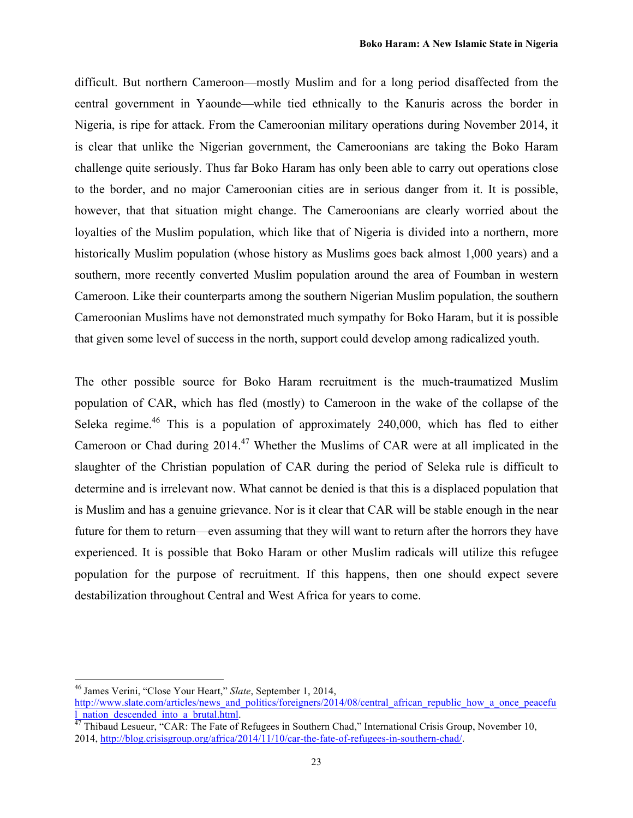difficult. But northern Cameroon—mostly Muslim and for a long period disaffected from the central government in Yaounde—while tied ethnically to the Kanuris across the border in Nigeria, is ripe for attack. From the Cameroonian military operations during November 2014, it is clear that unlike the Nigerian government, the Cameroonians are taking the Boko Haram challenge quite seriously. Thus far Boko Haram has only been able to carry out operations close to the border, and no major Cameroonian cities are in serious danger from it. It is possible, however, that that situation might change. The Cameroonians are clearly worried about the loyalties of the Muslim population, which like that of Nigeria is divided into a northern, more historically Muslim population (whose history as Muslims goes back almost 1,000 years) and a southern, more recently converted Muslim population around the area of Foumban in western Cameroon. Like their counterparts among the southern Nigerian Muslim population, the southern Cameroonian Muslims have not demonstrated much sympathy for Boko Haram, but it is possible that given some level of success in the north, support could develop among radicalized youth.

The other possible source for Boko Haram recruitment is the much-traumatized Muslim population of CAR, which has fled (mostly) to Cameroon in the wake of the collapse of the Seleka regime.<sup>46</sup> This is a population of approximately 240,000, which has fled to either Cameroon or Chad during 2014.<sup>47</sup> Whether the Muslims of CAR were at all implicated in the slaughter of the Christian population of CAR during the period of Seleka rule is difficult to determine and is irrelevant now. What cannot be denied is that this is a displaced population that is Muslim and has a genuine grievance. Nor is it clear that CAR will be stable enough in the near future for them to return—even assuming that they will want to return after the horrors they have experienced. It is possible that Boko Haram or other Muslim radicals will utilize this refugee population for the purpose of recruitment. If this happens, then one should expect severe destabilization throughout Central and West Africa for years to come.

<sup>46</sup> James Verini, "Close Your Heart," *Slate*, September 1, 2014,

http://www.slate.com/articles/news\_and\_politics/foreigners/2014/08/central\_african\_republic\_how\_a\_once\_peacefu<br>1 nation descended into a brutal.html.

<sup>&</sup>lt;sup>1</sup> Thibaud Lesueur, "CAR: The Fate of Refugees in Southern Chad," International Crisis Group, November 10, 2014, http://blog.crisisgroup.org/africa/2014/11/10/car-the-fate-of-refugees-in-southern-chad/.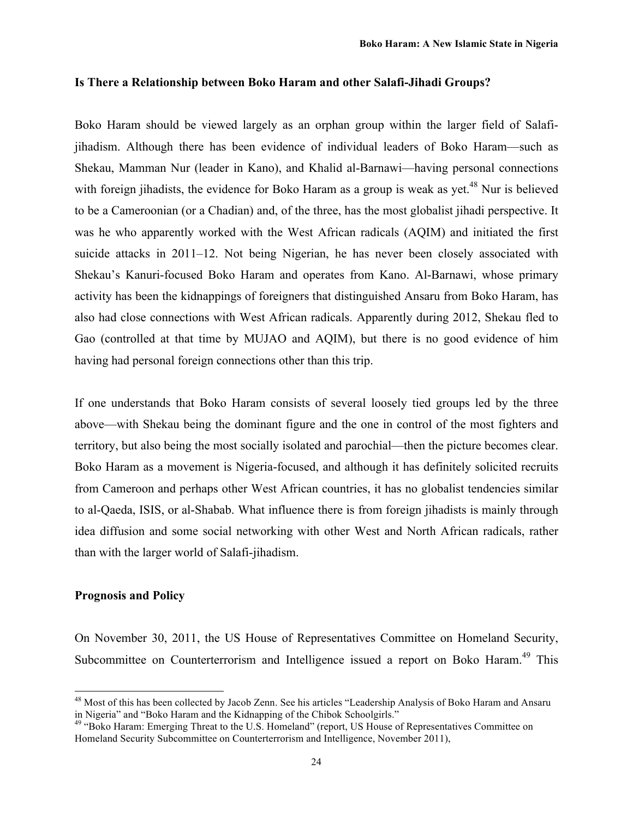#### **Is There a Relationship between Boko Haram and other Salafi-Jihadi Groups?**

Boko Haram should be viewed largely as an orphan group within the larger field of Salafijihadism. Although there has been evidence of individual leaders of Boko Haram—such as Shekau, Mamman Nur (leader in Kano), and Khalid al-Barnawi—having personal connections with foreign jihadists, the evidence for Boko Haram as a group is weak as yet.<sup>48</sup> Nur is believed to be a Cameroonian (or a Chadian) and, of the three, has the most globalist jihadi perspective. It was he who apparently worked with the West African radicals (AQIM) and initiated the first suicide attacks in 2011–12. Not being Nigerian, he has never been closely associated with Shekau's Kanuri-focused Boko Haram and operates from Kano. Al-Barnawi, whose primary activity has been the kidnappings of foreigners that distinguished Ansaru from Boko Haram, has also had close connections with West African radicals. Apparently during 2012, Shekau fled to Gao (controlled at that time by MUJAO and AQIM), but there is no good evidence of him having had personal foreign connections other than this trip.

If one understands that Boko Haram consists of several loosely tied groups led by the three above—with Shekau being the dominant figure and the one in control of the most fighters and territory, but also being the most socially isolated and parochial—then the picture becomes clear. Boko Haram as a movement is Nigeria-focused, and although it has definitely solicited recruits from Cameroon and perhaps other West African countries, it has no globalist tendencies similar to al-Qaeda, ISIS, or al-Shabab. What influence there is from foreign jihadists is mainly through idea diffusion and some social networking with other West and North African radicals, rather than with the larger world of Salafi-jihadism.

#### **Prognosis and Policy**

 

On November 30, 2011, the US House of Representatives Committee on Homeland Security, Subcommittee on Counterterrorism and Intelligence issued a report on Boko Haram.<sup>49</sup> This

<sup>&</sup>lt;sup>48</sup> Most of this has been collected by Jacob Zenn. See his articles "Leadership Analysis of Boko Haram and Ansaru in Nigeria" and "Boko Haram and the Kidnapping of the Chibok Schoolgirls."<br><sup>49</sup> "Boko Haram: Emerging Threat to the U.S. Homeland" (report, US House of Representatives Committee on

Homeland Security Subcommittee on Counterterrorism and Intelligence, November 2011),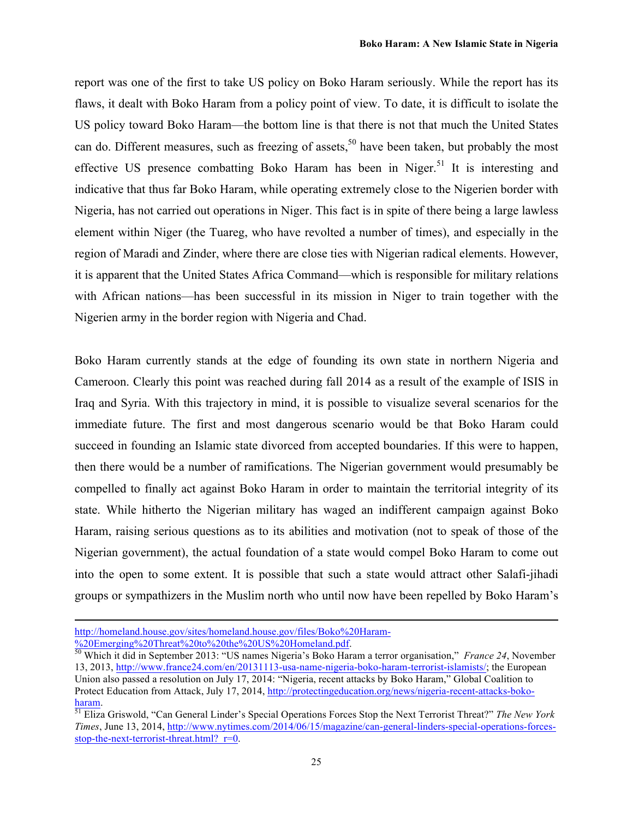report was one of the first to take US policy on Boko Haram seriously. While the report has its flaws, it dealt with Boko Haram from a policy point of view. To date, it is difficult to isolate the US policy toward Boko Haram—the bottom line is that there is not that much the United States can do. Different measures, such as freezing of assets,<sup>50</sup> have been taken, but probably the most effective US presence combatting Boko Haram has been in Niger.<sup>51</sup> It is interesting and indicative that thus far Boko Haram, while operating extremely close to the Nigerien border with Nigeria, has not carried out operations in Niger. This fact is in spite of there being a large lawless element within Niger (the Tuareg, who have revolted a number of times), and especially in the region of Maradi and Zinder, where there are close ties with Nigerian radical elements. However, it is apparent that the United States Africa Command—which is responsible for military relations with African nations—has been successful in its mission in Niger to train together with the Nigerien army in the border region with Nigeria and Chad.

Boko Haram currently stands at the edge of founding its own state in northern Nigeria and Cameroon. Clearly this point was reached during fall 2014 as a result of the example of ISIS in Iraq and Syria. With this trajectory in mind, it is possible to visualize several scenarios for the immediate future. The first and most dangerous scenario would be that Boko Haram could succeed in founding an Islamic state divorced from accepted boundaries. If this were to happen, then there would be a number of ramifications. The Nigerian government would presumably be compelled to finally act against Boko Haram in order to maintain the territorial integrity of its state. While hitherto the Nigerian military has waged an indifferent campaign against Boko Haram, raising serious questions as to its abilities and motivation (not to speak of those of the Nigerian government), the actual foundation of a state would compel Boko Haram to come out into the open to some extent. It is possible that such a state would attract other Salafi-jihadi groups or sympathizers in the Muslim north who until now have been repelled by Boko Haram's

<u> 1989 - Andrea Santa Andrea Andrea Andrea Andrea Andrea Andrea Andrea Andrea Andrea Andrea Andrea Andrea Andr</u>

http://homeland.house.gov/sites/homeland.house.gov/files/Boko%20Haram-<br>%20Emerging%20Threat%20to%20the%20US%20Homeland.pdf.

<sup>&</sup>lt;sup>50</sup>Which it did in September 2013: "US names Nigeria's Boko Haram a terror organisation," *France 24*, November 13, 2013, http://www.france24.com/en/20131113-usa-name-nigeria-boko-haram-terrorist-islamists/; the European Union also passed a resolution on July 17, 2014: "Nigeria, recent attacks by Boko Haram," Global Coalition to Protect Education from Attack, July 17, 2014, http://protectingeducation.org/news/nigeria-recent-attacks-boko-

haram. 51 Eliza Griswold, "Can General Linder's Special Operations Forces Stop the Next Terrorist Threat?" *The New York Times*, June 13, 2014, http://www.nytimes.com/2014/06/15/magazine/can-general-linders-special-operations-forcesstop-the-next-terrorist-threat.html?  $r=0$ .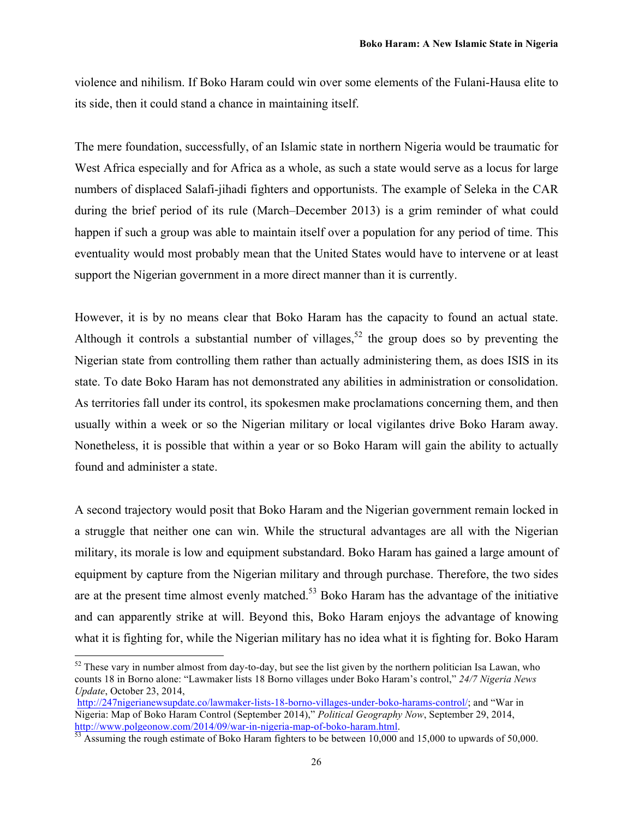violence and nihilism. If Boko Haram could win over some elements of the Fulani-Hausa elite to its side, then it could stand a chance in maintaining itself.

The mere foundation, successfully, of an Islamic state in northern Nigeria would be traumatic for West Africa especially and for Africa as a whole, as such a state would serve as a locus for large numbers of displaced Salafi-jihadi fighters and opportunists. The example of Seleka in the CAR during the brief period of its rule (March–December 2013) is a grim reminder of what could happen if such a group was able to maintain itself over a population for any period of time. This eventuality would most probably mean that the United States would have to intervene or at least support the Nigerian government in a more direct manner than it is currently.

However, it is by no means clear that Boko Haram has the capacity to found an actual state. Although it controls a substantial number of villages,  $52$  the group does so by preventing the Nigerian state from controlling them rather than actually administering them, as does ISIS in its state. To date Boko Haram has not demonstrated any abilities in administration or consolidation. As territories fall under its control, its spokesmen make proclamations concerning them, and then usually within a week or so the Nigerian military or local vigilantes drive Boko Haram away. Nonetheless, it is possible that within a year or so Boko Haram will gain the ability to actually found and administer a state.

A second trajectory would posit that Boko Haram and the Nigerian government remain locked in a struggle that neither one can win. While the structural advantages are all with the Nigerian military, its morale is low and equipment substandard. Boko Haram has gained a large amount of equipment by capture from the Nigerian military and through purchase. Therefore, the two sides are at the present time almost evenly matched.<sup>53</sup> Boko Haram has the advantage of the initiative and can apparently strike at will. Beyond this, Boko Haram enjoys the advantage of knowing what it is fighting for, while the Nigerian military has no idea what it is fighting for. Boko Haram

 $52$  These vary in number almost from day-to-day, but see the list given by the northern politician Isa Lawan, who counts 18 in Borno alone: "Lawmaker lists 18 Borno villages under Boko Haram's control," *24/7 Nigeria News Update*, October 23, 2014,

http://247nigerianewsupdate.co/lawmaker-lists-18-borno-villages-under-boko-harams-control/; and "War in Nigeria: Map of Boko Haram Control (September 2014)," *Political Geography Now*, September 29, 2014, http://www.polgeonow.com/2014/09/war-in-nigeria-map-of-boko-haram.html.<br><sup>53</sup> Assuming the rough estimate of Boko Haram fighters to be between 10,000 and 15,000 to upwards of 50,000.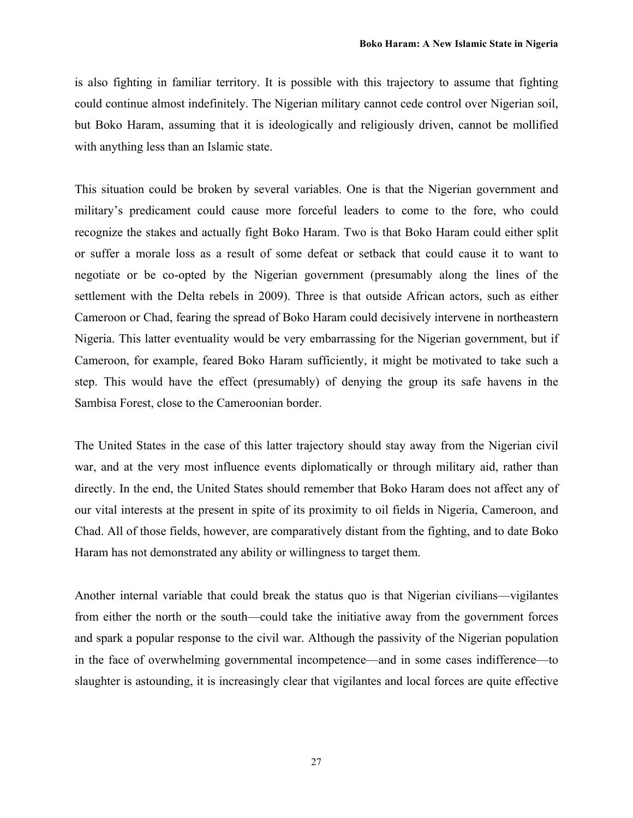is also fighting in familiar territory. It is possible with this trajectory to assume that fighting could continue almost indefinitely. The Nigerian military cannot cede control over Nigerian soil, but Boko Haram, assuming that it is ideologically and religiously driven, cannot be mollified with anything less than an Islamic state.

This situation could be broken by several variables. One is that the Nigerian government and military's predicament could cause more forceful leaders to come to the fore, who could recognize the stakes and actually fight Boko Haram. Two is that Boko Haram could either split or suffer a morale loss as a result of some defeat or setback that could cause it to want to negotiate or be co-opted by the Nigerian government (presumably along the lines of the settlement with the Delta rebels in 2009). Three is that outside African actors, such as either Cameroon or Chad, fearing the spread of Boko Haram could decisively intervene in northeastern Nigeria. This latter eventuality would be very embarrassing for the Nigerian government, but if Cameroon, for example, feared Boko Haram sufficiently, it might be motivated to take such a step. This would have the effect (presumably) of denying the group its safe havens in the Sambisa Forest, close to the Cameroonian border.

The United States in the case of this latter trajectory should stay away from the Nigerian civil war, and at the very most influence events diplomatically or through military aid, rather than directly. In the end, the United States should remember that Boko Haram does not affect any of our vital interests at the present in spite of its proximity to oil fields in Nigeria, Cameroon, and Chad. All of those fields, however, are comparatively distant from the fighting, and to date Boko Haram has not demonstrated any ability or willingness to target them.

Another internal variable that could break the status quo is that Nigerian civilians—vigilantes from either the north or the south—could take the initiative away from the government forces and spark a popular response to the civil war. Although the passivity of the Nigerian population in the face of overwhelming governmental incompetence—and in some cases indifference—to slaughter is astounding, it is increasingly clear that vigilantes and local forces are quite effective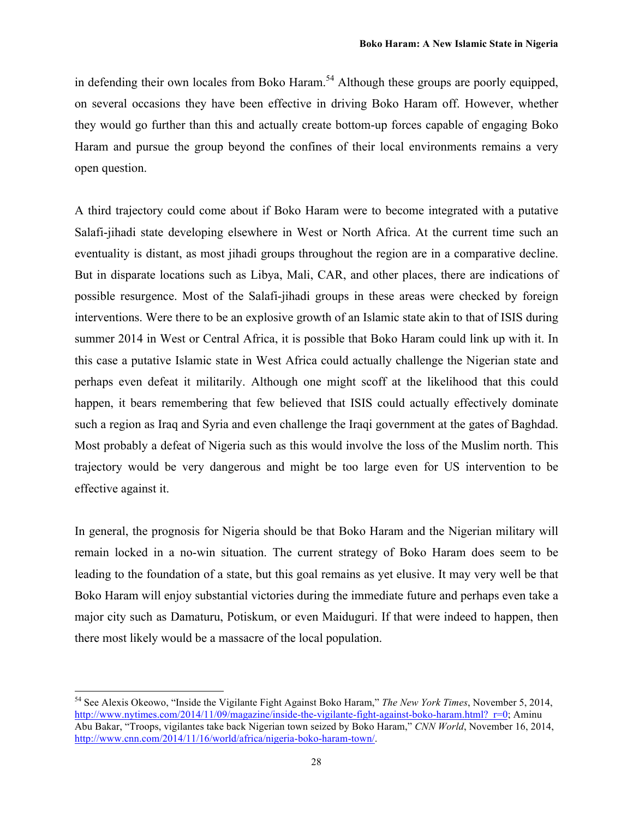in defending their own locales from Boko Haram.<sup>54</sup> Although these groups are poorly equipped, on several occasions they have been effective in driving Boko Haram off. However, whether they would go further than this and actually create bottom-up forces capable of engaging Boko Haram and pursue the group beyond the confines of their local environments remains a very open question.

A third trajectory could come about if Boko Haram were to become integrated with a putative Salafi-jihadi state developing elsewhere in West or North Africa. At the current time such an eventuality is distant, as most jihadi groups throughout the region are in a comparative decline. But in disparate locations such as Libya, Mali, CAR, and other places, there are indications of possible resurgence. Most of the Salafi-jihadi groups in these areas were checked by foreign interventions. Were there to be an explosive growth of an Islamic state akin to that of ISIS during summer 2014 in West or Central Africa, it is possible that Boko Haram could link up with it. In this case a putative Islamic state in West Africa could actually challenge the Nigerian state and perhaps even defeat it militarily. Although one might scoff at the likelihood that this could happen, it bears remembering that few believed that ISIS could actually effectively dominate such a region as Iraq and Syria and even challenge the Iraqi government at the gates of Baghdad. Most probably a defeat of Nigeria such as this would involve the loss of the Muslim north. This trajectory would be very dangerous and might be too large even for US intervention to be effective against it.

In general, the prognosis for Nigeria should be that Boko Haram and the Nigerian military will remain locked in a no-win situation. The current strategy of Boko Haram does seem to be leading to the foundation of a state, but this goal remains as yet elusive. It may very well be that Boko Haram will enjoy substantial victories during the immediate future and perhaps even take a major city such as Damaturu, Potiskum, or even Maiduguri. If that were indeed to happen, then there most likely would be a massacre of the local population.

<sup>54</sup> See Alexis Okeowo, "Inside the Vigilante Fight Against Boko Haram," *The New York Times*, November 5, 2014, http://www.nytimes.com/2014/11/09/magazine/inside-the-vigilante-fight-against-boko-haram.html? r=0; Aminu Abu Bakar, "Troops, vigilantes take back Nigerian town seized by Boko Haram," *CNN World*, November 16, 2014, http://www.cnn.com/2014/11/16/world/africa/nigeria-boko-haram-town/.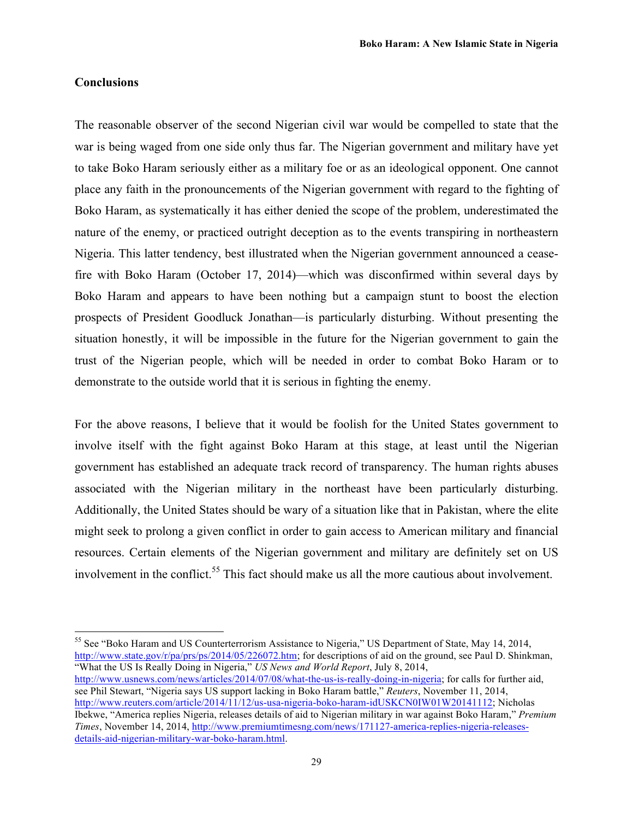#### **Conclusions**

 

The reasonable observer of the second Nigerian civil war would be compelled to state that the war is being waged from one side only thus far. The Nigerian government and military have yet to take Boko Haram seriously either as a military foe or as an ideological opponent. One cannot place any faith in the pronouncements of the Nigerian government with regard to the fighting of Boko Haram, as systematically it has either denied the scope of the problem, underestimated the nature of the enemy, or practiced outright deception as to the events transpiring in northeastern Nigeria. This latter tendency, best illustrated when the Nigerian government announced a ceasefire with Boko Haram (October 17, 2014)—which was disconfirmed within several days by Boko Haram and appears to have been nothing but a campaign stunt to boost the election prospects of President Goodluck Jonathan—is particularly disturbing. Without presenting the situation honestly, it will be impossible in the future for the Nigerian government to gain the trust of the Nigerian people, which will be needed in order to combat Boko Haram or to demonstrate to the outside world that it is serious in fighting the enemy.

For the above reasons, I believe that it would be foolish for the United States government to involve itself with the fight against Boko Haram at this stage, at least until the Nigerian government has established an adequate track record of transparency. The human rights abuses associated with the Nigerian military in the northeast have been particularly disturbing. Additionally, the United States should be wary of a situation like that in Pakistan, where the elite might seek to prolong a given conflict in order to gain access to American military and financial resources. Certain elements of the Nigerian government and military are definitely set on US involvement in the conflict.<sup>55</sup> This fact should make us all the more cautious about involvement.

<sup>55</sup> See "Boko Haram and US Counterterrorism Assistance to Nigeria," US Department of State, May 14, 2014, http://www.state.gov/r/pa/prs/ps/2014/05/226072.htm; for descriptions of aid on the ground, see Paul D. Shinkman, "What the US Is Really Doing in Nigeria," *US News and World Report*, July 8, 2014,

http://www.usnews.com/news/articles/2014/07/08/what-the-us-is-really-doing-in-nigeria; for calls for further aid, see Phil Stewart, "Nigeria says US support lacking in Boko Haram battle," *Reuters*, November 11, 2014, http://www.reuters.com/article/2014/11/12/us-usa-nigeria-boko-haram-idUSKCN0IW01W20141112; Nicholas Ibekwe, "America replies Nigeria, releases details of aid to Nigerian military in war against Boko Haram," *Premium Times*, November 14, 2014, http://www.premiumtimesng.com/news/171127-america-replies-nigeria-releasesdetails-aid-nigerian-military-war-boko-haram.html.